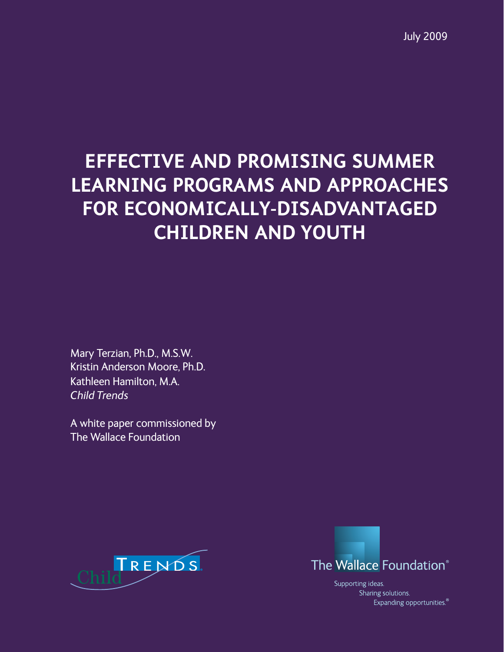# **EFFECTIVE AND PROMISING SUMMER LEARNING PROGRAMS AND APPROACHES FOR ECONOMICALLY-DISADVANTAGED CHILDREN AND YOUTH**

Mary Terzian, Ph.D., M.S.W. Kristin Anderson Moore, Ph.D. Kathleen Hamilton, M.A. *Child Trends*

A white paper commissioned by The Wallace Foundation





Supporting ideas. Sharing solutions. Expanding opportunities.<sup>®</sup>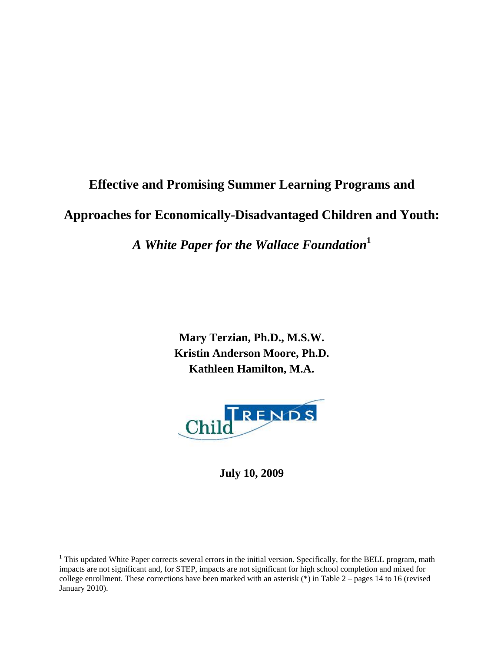# **Effective and Promising Summer Learning Programs and Approaches for Economically-Disadvantaged Children and Youth:**

*A White Paper for the Wallace Foundation***<sup>1</sup>**

**Mary Terzian, Ph.D., M.S.W. Kristin Anderson Moore, Ph.D. Kathleen Hamilton, M.A.** 



**July 10, 2009** 

<sup>&</sup>lt;sup>1</sup> This updated White Paper corrects several errors in the initial version. Specifically, for the BELL program, math impacts are not significant and, for STEP, impacts are not significant for high school completion and mixed for college enrollment. These corrections have been marked with an asterisk  $(*)$  in Table 2 – pages 14 to 16 (revised January 2010).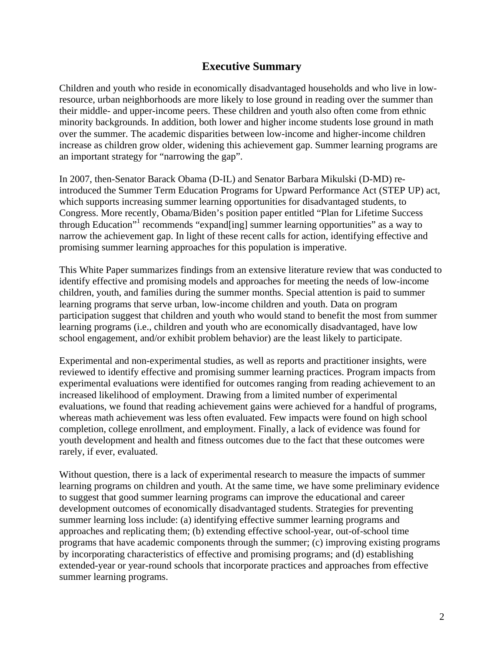#### **Executive Summary**

Children and youth who reside in economically disadvantaged households and who live in lowresource, urban neighborhoods are more likely to lose ground in reading over the summer than their middle- and upper-income peers. These children and youth also often come from ethnic minority backgrounds. In addition, both lower and higher income students lose ground in math over the summer. The academic disparities between low-income and higher-income children increase as children grow older, widening this achievement gap. Summer learning programs are an important strategy for "narrowing the gap".

In 2007, then-Senator Barack Obama (D-IL) and Senator Barbara Mikulski (D-MD) reintroduced the Summer Term Education Programs for Upward Performance Act (STEP UP) act, which supports increasing summer learning opportunities for disadvantaged students, to Congress. More recently, Obama/Biden's position paper entitled "Plan for Lifetime Success through Education"<sup>1</sup> recommends "expand[ing] summer learning opportunities" as a way to narrow the achievement gap. In light of these recent calls for action, identifying effective and promising summer learning approaches for this population is imperative.

This White Paper summarizes findings from an extensive literature review that was conducted to identify effective and promising models and approaches for meeting the needs of low-income children, youth, and families during the summer months. Special attention is paid to summer learning programs that serve urban, low-income children and youth. Data on program participation suggest that children and youth who would stand to benefit the most from summer learning programs (i.e., children and youth who are economically disadvantaged, have low school engagement, and/or exhibit problem behavior) are the least likely to participate.

Experimental and non-experimental studies, as well as reports and practitioner insights, were reviewed to identify effective and promising summer learning practices. Program impacts from experimental evaluations were identified for outcomes ranging from reading achievement to an increased likelihood of employment. Drawing from a limited number of experimental evaluations, we found that reading achievement gains were achieved for a handful of programs, whereas math achievement was less often evaluated. Few impacts were found on high school completion, college enrollment, and employment. Finally, a lack of evidence was found for youth development and health and fitness outcomes due to the fact that these outcomes were rarely, if ever, evaluated.

Without question, there is a lack of experimental research to measure the impacts of summer learning programs on children and youth. At the same time, we have some preliminary evidence to suggest that good summer learning programs can improve the educational and career development outcomes of economically disadvantaged students. Strategies for preventing summer learning loss include: (a) identifying effective summer learning programs and approaches and replicating them; (b) extending effective school-year, out-of-school time programs that have academic components through the summer; (c) improving existing programs by incorporating characteristics of effective and promising programs; and (d) establishing extended-year or year-round schools that incorporate practices and approaches from effective summer learning programs.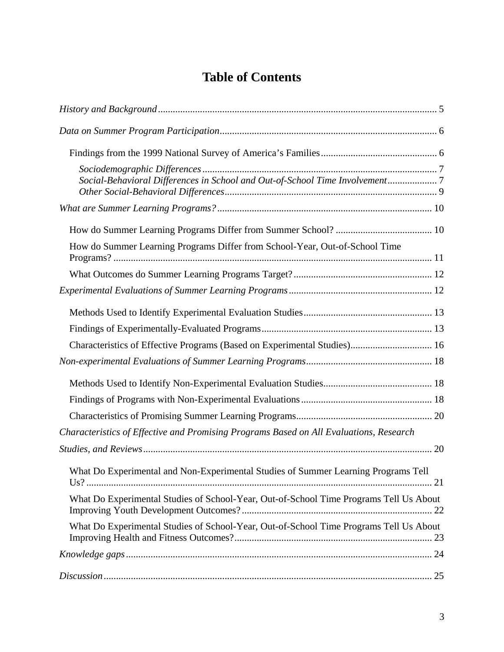# **Table of Contents**

| Social-Behavioral Differences in School and Out-of-School Time Involvement7            |
|----------------------------------------------------------------------------------------|
|                                                                                        |
|                                                                                        |
| How do Summer Learning Programs Differ from School-Year, Out-of-School Time            |
|                                                                                        |
| Characteristics of Effective Programs (Based on Experimental Studies) 16               |
|                                                                                        |
|                                                                                        |
|                                                                                        |
| Characteristics of Effective and Promising Programs Based on All Evaluations, Research |
|                                                                                        |
| What Do Experimental and Non-Experimental Studies of Summer Learning Programs Tell     |
| What Do Experimental Studies of School-Year, Out-of-School Time Programs Tell Us About |
| What Do Experimental Studies of School-Year, Out-of-School Time Programs Tell Us About |
|                                                                                        |
|                                                                                        |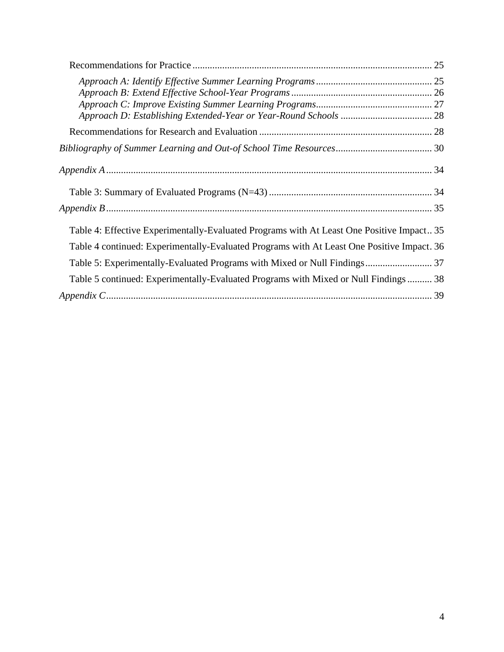| Table 4: Effective Experimentally-Evaluated Programs with At Least One Positive Impact 35  |  |
|--------------------------------------------------------------------------------------------|--|
| Table 4 continued: Experimentally-Evaluated Programs with At Least One Positive Impact. 36 |  |
|                                                                                            |  |
| Table 5 continued: Experimentally-Evaluated Programs with Mixed or Null Findings  38       |  |
|                                                                                            |  |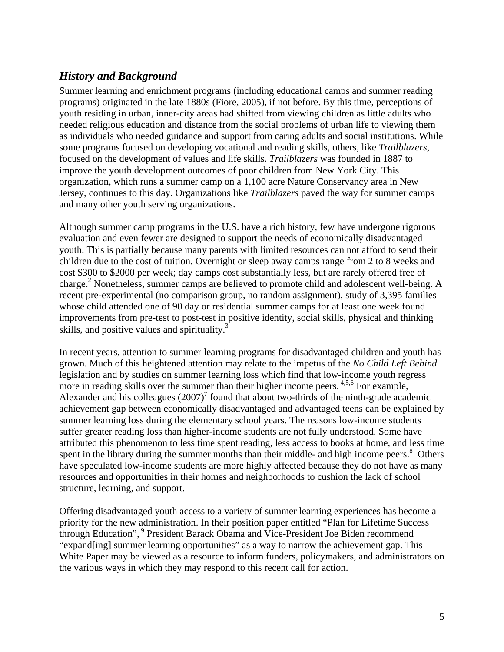## *History and Background*

Summer learning and enrichment programs (including educational camps and summer reading programs) originated in the late 1880s (Fiore, 2005), if not before. By this time, perceptions of youth residing in urban, inner-city areas had shifted from viewing children as little adults who needed religious education and distance from the social problems of urban life to viewing them as individuals who needed guidance and support from caring adults and social institutions. While some programs focused on developing vocational and reading skills, others, like *Trailblazers,* focused on the development of values and life skills. *Trailblazers* was founded in 1887 to improve the youth development outcomes of poor children from New York City. This organization, which runs a summer camp on a 1,100 acre Nature Conservancy area in New Jersey, continues to this day. Organizations like *Trailblazers* paved the way for summer camps and many other youth serving organizations.

Although summer camp programs in the U.S. have a rich history, few have undergone rigorous evaluation and even fewer are designed to support the needs of economically disadvantaged youth. This is partially because many parents with limited resources can not afford to send their children due to the cost of tuition. Overnight or sleep away camps range from 2 to 8 weeks and cost \$300 to \$2000 per week; day camps cost substantially less, but are rarely offered free of charge.<sup>2</sup> Nonetheless, summer camps are believed to promote child and adolescent well-being. A recent pre-experimental (no comparison group, no random assignment), study of 3,395 families whose child attended one of 90 day or residential summer camps for at least one week found improvements from pre-test to post-test in positive identity, social skills, physical and thinking skills, and positive values and spirituality.<sup>3</sup>

In recent years, attention to summer learning programs for disadvantaged children and youth has grown. Much of this heightened attention may relate to the impetus of the *No Child Left Behind* legislation and by studies on summer learning loss which find that low-income youth regress more in reading skills over the summer than their higher income peers. <sup>4,5,6</sup> For example, Alexander and his colleagues  $(2007)^7$  found that about two-thirds of the ninth-grade academic achievement gap between economically disadvantaged and advantaged teens can be explained by summer learning loss during the elementary school years. The reasons low-income students suffer greater reading loss than higher-income students are not fully understood. Some have attributed this phenomenon to less time spent reading, less access to books at home, and less time spent in the library during the summer months than their middle- and high income peers.<sup>8</sup> Others have speculated low-income students are more highly affected because they do not have as many resources and opportunities in their homes and neighborhoods to cushion the lack of school structure, learning, and support.

Offering disadvantaged youth access to a variety of summer learning experiences has become a priority for the new administration. In their position paper entitled "Plan for Lifetime Success through Education", <sup>9</sup> President Barack Obama and Vice-President Joe Biden recommend "expand[ing] summer learning opportunities" as a way to narrow the achievement gap. This White Paper may be viewed as a resource to inform funders, policymakers, and administrators on the various ways in which they may respond to this recent call for action.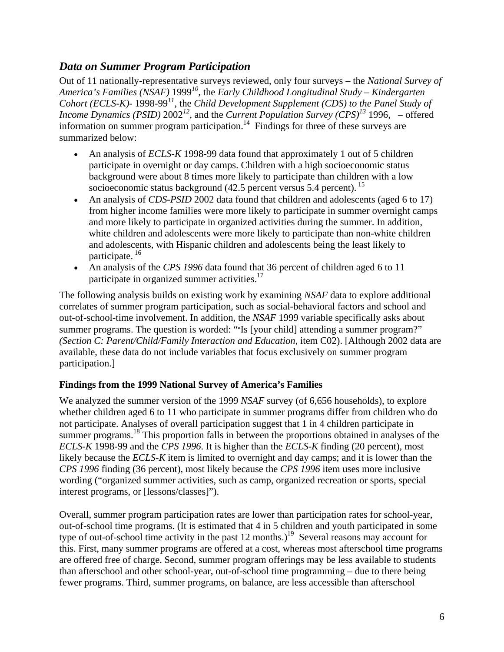### *Data on Summer Program Participation*

Out of 11 nationally-representative surveys reviewed, only four surveys – the *National Survey of America's Families (NSAF)* 1999*10,* the *Early Childhood Longitudinal Study – Kindergarten Cohort (ECLS-K)-* 1998-99*<sup>11</sup>*, the *Child Development Supplement (CDS) to the Panel Study of Income Dynamics (PSID)* 2002*12,* and the *Current Population Survey (CPS)13* 1996, – offered information on summer program participation.<sup>14</sup> Findings for three of these surveys are summarized below:

- An analysis of *ECLS-K* 1998-99 data found that approximately 1 out of 5 children participate in overnight or day camps. Children with a high socioeconomic status background were about 8 times more likely to participate than children with a low socioeconomic status background  $(42.5$  percent versus 5.4 percent).<sup>15</sup>
- An analysis of *CDS-PSID* 2002 data found that children and adolescents (aged 6 to 17) from higher income families were more likely to participate in summer overnight camps and more likely to participate in organized activities during the summer. In addition, white children and adolescents were more likely to participate than non-white children and adolescents, with Hispanic children and adolescents being the least likely to participate. 16
- An analysis of the *CPS 1996* data found that 36 percent of children aged 6 to 11 participate in organized summer activities. $17$

The following analysis builds on existing work by examining *NSAF* data to explore additional correlates of summer program participation, such as social-behavioral factors and school and out-of-school-time involvement. In addition, the *NSAF* 1999 variable specifically asks about summer programs. The question is worded: ""Is [your child] attending a summer program?" *(Section C: Parent/Child/Family Interaction and Education*, item C02). [Although 2002 data are available, these data do not include variables that focus exclusively on summer program participation.]

#### **Findings from the 1999 National Survey of America's Families**

We analyzed the summer version of the 1999 *NSAF* survey (of 6,656 households), to explore whether children aged 6 to 11 who participate in summer programs differ from children who do not participate. Analyses of overall participation suggest that 1 in 4 children participate in summer programs.<sup>18</sup> This proportion falls in between the proportions obtained in analyses of the *ECLS-K* 1998-99 and the *CPS 1996*. It is higher than the *ECLS-K* finding (20 percent), most likely because the *ECLS-K* item is limited to overnight and day camps; and it is lower than the *CPS 1996* finding (36 percent), most likely because the *CPS 1996* item uses more inclusive wording ("organized summer activities, such as camp, organized recreation or sports, special interest programs, or [lessons/classes]").

Overall, summer program participation rates are lower than participation rates for school-year, out-of-school time programs. (It is estimated that 4 in 5 children and youth participated in some type of out-of-school time activity in the past  $12$  months.)<sup>19</sup> Several reasons may account for this. First, many summer programs are offered at a cost, whereas most afterschool time programs are offered free of charge. Second, summer program offerings may be less available to students than afterschool and other school-year, out-of-school time programming – due to there being fewer programs. Third, summer programs, on balance, are less accessible than afterschool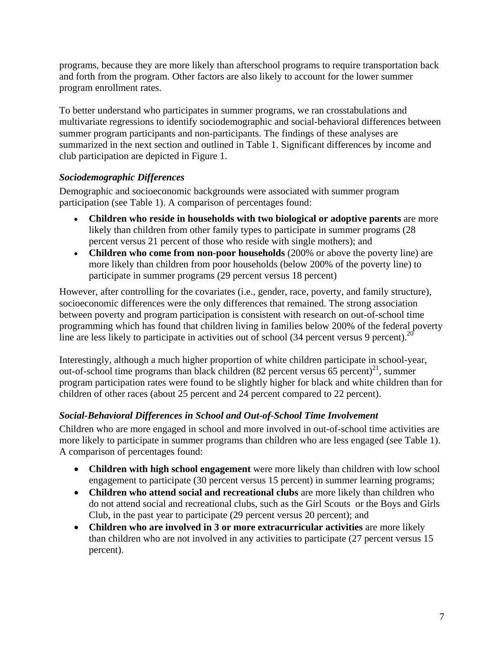programs, because they are more likely than afterschool programs to require transportation back and forth from the program. Other factors are also likely to account for the lower summer program enrollment rates.

To better understand who participates in summer programs, we ran crosstabulations and multivariate regressions to identify sociodemographic and social-behavioral differences between summer program participants and non-participants. The findings of these analyses are summarized in the next section and outlined in Table 1. Significant differences by income and club participation are depicted in Figure 1.

#### *Sociodemographic Differences*

Demographic and socioeconomic backgrounds were associated with summer program participation (see Table 1). A comparison of percentages found:

- **Children who reside in households with two biological or adoptive parents** are more likely than children from other family types to participate in summer programs (28 percent versus 21 percent of those who reside with single mothers); and
- **Children who come from non-poor households** (200% or above the poverty line) are more likely than children from poor households (below 200% of the poverty line) to participate in summer programs (29 percent versus 18 percent)

However, after controlling for the covariates (i.e., gender, race, poverty, and family structure), socioeconomic differences were the only differences that remained. The strong association between poverty and program participation is consistent with research on out-of-school time programming which has found that children living in families below 200% of the federal poverty line are less likely to participate in activities out of school  $(34$  percent versus 9 percent).<sup>20</sup>

Interestingly, although a much higher proportion of white children participate in school-year, out-of-school time programs than black children  $(82$  percent versus 65 percent)<sup>21</sup>, summer program participation rates were found to be slightly higher for black and white children than for children of other races (about 25 percent and 24 percent compared to 22 percent).

#### *Social-Behavioral Differences in School and Out-of-School Time Involvement*

Children who are more engaged in school and more involved in out-of-school time activities are more likely to participate in summer programs than children who are less engaged (see Table 1). A comparison of percentages found:

- **Children with high school engagement** were more likely than children with low school engagement to participate (30 percent versus 15 percent) in summer learning programs;
- **Children who attend social and recreational clubs** are more likely than children who do not attend social and recreational clubs, such as the Girl Scouts or the Boys and Girls Club, in the past year to participate (29 percent versus 20 percent); and
- **Children who are involved in 3 or more extracurricular activities** are more likely than children who are not involved in any activities to participate (27 percent versus 15 percent).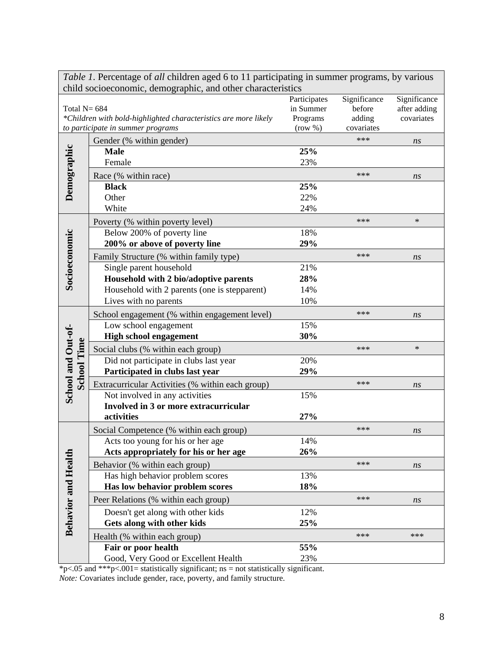|                                          | <i>rable 1</i> . Felecinage of <i>all</i> children aged 6 to 11 participating in summer programs, by various<br>child socioeconomic, demographic, and other characteristics |              |                   |              |
|------------------------------------------|-----------------------------------------------------------------------------------------------------------------------------------------------------------------------------|--------------|-------------------|--------------|
|                                          |                                                                                                                                                                             | Participates | Significance      | Significance |
| Total $N = 684$                          |                                                                                                                                                                             | in Summer    | before            | after adding |
|                                          | *Children with bold-highlighted characteristics are more likely                                                                                                             | Programs     | adding            | covariates   |
|                                          | to participate in summer programs                                                                                                                                           | (row %)      | covariates<br>*** |              |
|                                          | Gender (% within gender)                                                                                                                                                    |              |                   | ns           |
|                                          | <b>Male</b><br>Female                                                                                                                                                       | 25%<br>23%   |                   |              |
| Demographic                              |                                                                                                                                                                             |              |                   |              |
|                                          | Race (% within race)                                                                                                                                                        |              | ***               | ns           |
|                                          | <b>Black</b><br>Other                                                                                                                                                       | 25%<br>22%   |                   |              |
|                                          | White                                                                                                                                                                       | 24%          |                   |              |
|                                          |                                                                                                                                                                             |              | ***               | $\ast$       |
|                                          | Poverty (% within poverty level)<br>Below 200% of poverty line                                                                                                              | 18%          |                   |              |
|                                          | 200% or above of poverty line                                                                                                                                               | 29%          |                   |              |
| Socioeconomic                            |                                                                                                                                                                             |              | ***               |              |
|                                          | Family Structure (% within family type)<br>Single parent household                                                                                                          | 21%          |                   | ns           |
|                                          | Household with 2 bio/adoptive parents                                                                                                                                       | 28%          |                   |              |
|                                          | Household with 2 parents (one is stepparent)                                                                                                                                | 14%          |                   |              |
|                                          | Lives with no parents                                                                                                                                                       | 10%          |                   |              |
|                                          | School engagement (% within engagement level)                                                                                                                               |              | ***               | ns           |
|                                          | Low school engagement                                                                                                                                                       | 15%          |                   |              |
|                                          | <b>High school engagement</b>                                                                                                                                               | 30%          |                   |              |
| School and Out-of-<br><b>School Time</b> | Social clubs (% within each group)                                                                                                                                          |              | ***               | $\ast$       |
|                                          | Did not participate in clubs last year                                                                                                                                      | 20%          |                   |              |
|                                          | Participated in clubs last year                                                                                                                                             | 29%          |                   |              |
|                                          | Extracurricular Activities (% within each group)                                                                                                                            |              | ***               | ns           |
|                                          | Not involved in any activities                                                                                                                                              | 15%          |                   |              |
|                                          | Involved in 3 or more extracurricular                                                                                                                                       |              |                   |              |
|                                          | activities                                                                                                                                                                  | 27%          |                   |              |
|                                          | Social Competence (% within each group)                                                                                                                                     |              | ***               | ns           |
|                                          | Acts too young for his or her age                                                                                                                                           | 14%          |                   |              |
|                                          | Acts appropriately for his or her age                                                                                                                                       | 26%          |                   |              |
|                                          | Behavior (% within each group)                                                                                                                                              |              | ***               | ns           |
|                                          | Has high behavior problem scores                                                                                                                                            | 13%          |                   |              |
|                                          | Has low behavior problem scores                                                                                                                                             | 18%          |                   |              |
|                                          | Peer Relations (% within each group)                                                                                                                                        |              | ***               | ns           |
|                                          | Doesn't get along with other kids                                                                                                                                           | 12%          |                   |              |
| <b>Behavior and Health</b>               | Gets along with other kids                                                                                                                                                  | 25%          |                   |              |
|                                          | Health (% within each group)                                                                                                                                                |              | ***               | ***          |
|                                          | Fair or poor health                                                                                                                                                         | 55%          |                   |              |
|                                          | Good, Very Good or Excellent Health                                                                                                                                         | 23%          |                   |              |

*Table 1*. Percentage of *all* children aged 6 to 11 participating in summer programs, by various

\*p<.05 and \*\*\*p<.001= statistically significant; ns = not statistically significant.

*Note:* Covariates include gender, race, poverty, and family structure.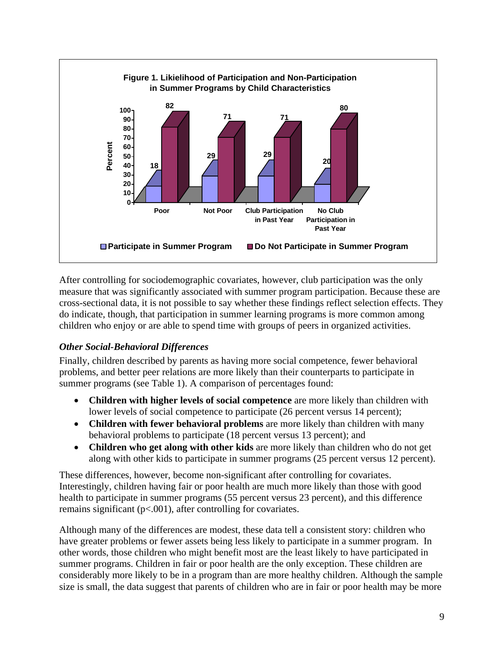

After controlling for sociodemographic covariates, however, club participation was the only measure that was significantly associated with summer program participation. Because these are cross-sectional data, it is not possible to say whether these findings reflect selection effects. They do indicate, though, that participation in summer learning programs is more common among children who enjoy or are able to spend time with groups of peers in organized activities.

#### *Other Social-Behavioral Differences*

Finally, children described by parents as having more social competence, fewer behavioral problems, and better peer relations are more likely than their counterparts to participate in summer programs (see Table 1). A comparison of percentages found:

- **Children with higher levels of social competence** are more likely than children with lower levels of social competence to participate (26 percent versus 14 percent);
- **Children with fewer behavioral problems** are more likely than children with many behavioral problems to participate (18 percent versus 13 percent); and
- **Children who get along with other kids** are more likely than children who do not get along with other kids to participate in summer programs (25 percent versus 12 percent).

These differences, however, become non-significant after controlling for covariates. Interestingly, children having fair or poor health are much more likely than those with good health to participate in summer programs (55 percent versus 23 percent), and this difference remains significant  $(p<.001)$ , after controlling for covariates.

Although many of the differences are modest, these data tell a consistent story: children who have greater problems or fewer assets being less likely to participate in a summer program. In other words, those children who might benefit most are the least likely to have participated in summer programs. Children in fair or poor health are the only exception. These children are considerably more likely to be in a program than are more healthy children. Although the sample size is small, the data suggest that parents of children who are in fair or poor health may be more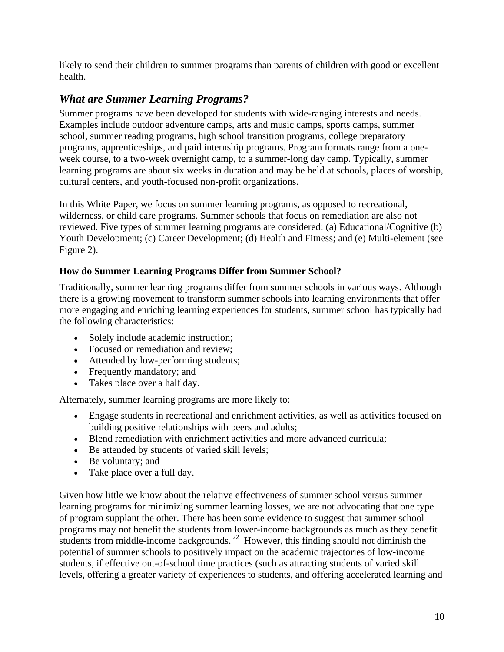likely to send their children to summer programs than parents of children with good or excellent health.

# *What are Summer Learning Programs?*

Summer programs have been developed for students with wide-ranging interests and needs. Examples include outdoor adventure camps, arts and music camps, sports camps, summer school, summer reading programs, high school transition programs, college preparatory programs, apprenticeships, and paid internship programs. Program formats range from a oneweek course, to a two-week overnight camp, to a summer-long day camp. Typically, summer learning programs are about six weeks in duration and may be held at schools, places of worship, cultural centers, and youth-focused non-profit organizations.

In this White Paper, we focus on summer learning programs, as opposed to recreational, wilderness, or child care programs. Summer schools that focus on remediation are also not reviewed. Five types of summer learning programs are considered: (a) Educational/Cognitive (b) Youth Development; (c) Career Development; (d) Health and Fitness; and (e) Multi-element (see Figure 2).

#### **How do Summer Learning Programs Differ from Summer School?**

Traditionally, summer learning programs differ from summer schools in various ways. Although there is a growing movement to transform summer schools into learning environments that offer more engaging and enriching learning experiences for students, summer school has typically had the following characteristics:

- Solely include academic instruction;
- Focused on remediation and review;
- Attended by low-performing students;
- Frequently mandatory; and
- Takes place over a half day.

Alternately, summer learning programs are more likely to:

- Engage students in recreational and enrichment activities, as well as activities focused on building positive relationships with peers and adults;
- Blend remediation with enrichment activities and more advanced curricula;
- Be attended by students of varied skill levels;
- Be voluntary; and
- Take place over a full day.

Given how little we know about the relative effectiveness of summer school versus summer learning programs for minimizing summer learning losses, we are not advocating that one type of program supplant the other. There has been some evidence to suggest that summer school programs may not benefit the students from lower-income backgrounds as much as they benefit students from middle-income backgrounds. <sup>22</sup> However, this finding should not diminish the potential of summer schools to positively impact on the academic trajectories of low-income students, if effective out-of-school time practices (such as attracting students of varied skill levels, offering a greater variety of experiences to students, and offering accelerated learning and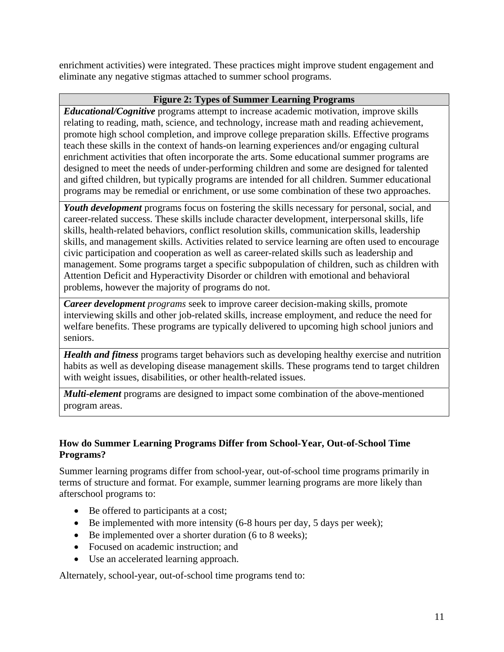enrichment activities) were integrated. These practices might improve student engagement and eliminate any negative stigmas attached to summer school programs.

#### **Figure 2: Types of Summer Learning Programs**

*Educational/Cognitive* programs attempt to increase academic motivation, improve skills relating to reading, math, science, and technology, increase math and reading achievement, promote high school completion, and improve college preparation skills. Effective programs teach these skills in the context of hands-on learning experiences and/or engaging cultural enrichment activities that often incorporate the arts. Some educational summer programs are designed to meet the needs of under-performing children and some are designed for talented and gifted children, but typically programs are intended for all children. Summer educational programs may be remedial or enrichment, or use some combination of these two approaches.

*Youth development* programs focus on fostering the skills necessary for personal, social, and career-related success. These skills include character development, interpersonal skills, life skills, health-related behaviors, conflict resolution skills, communication skills, leadership skills, and management skills. Activities related to service learning are often used to encourage civic participation and cooperation as well as career-related skills such as leadership and management. Some programs target a specific subpopulation of children, such as children with Attention Deficit and Hyperactivity Disorder or children with emotional and behavioral problems, however the majority of programs do not.

*Career development programs* seek to improve career decision-making skills, promote interviewing skills and other job-related skills, increase employment, and reduce the need for welfare benefits. These programs are typically delivered to upcoming high school juniors and seniors.

*Health and fitness* programs target behaviors such as developing healthy exercise and nutrition habits as well as developing disease management skills. These programs tend to target children with weight issues, disabilities, or other health-related issues.

*Multi-element* programs are designed to impact some combination of the above-mentioned program areas.

#### **How do Summer Learning Programs Differ from School-Year, Out-of-School Time Programs?**

Summer learning programs differ from school-year, out-of-school time programs primarily in terms of structure and format. For example, summer learning programs are more likely than afterschool programs to:

- Be offered to participants at a cost;
- $\bullet$  Be implemented with more intensity (6-8 hours per day, 5 days per week);
- Be implemented over a shorter duration (6 to 8 weeks);
- Focused on academic instruction; and
- Use an accelerated learning approach.

Alternately, school-year, out-of-school time programs tend to: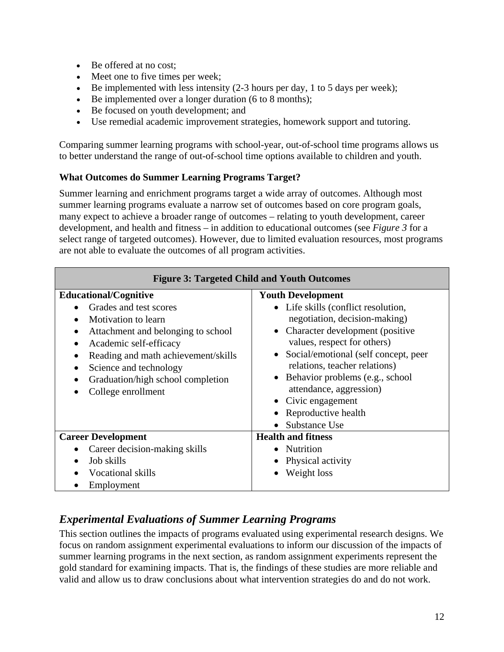- Be offered at no cost;
- Meet one to five times per week;
- Be implemented with less intensity  $(2-3$  hours per day, 1 to 5 days per week);
- Be implemented over a longer duration (6 to 8 months);
- Be focused on youth development; and
- Use remedial academic improvement strategies, homework support and tutoring.

Comparing summer learning programs with school-year, out-of-school time programs allows us to better understand the range of out-of-school time options available to children and youth.

#### **What Outcomes do Summer Learning Programs Target?**

Summer learning and enrichment programs target a wide array of outcomes. Although most summer learning programs evaluate a narrow set of outcomes based on core program goals, many expect to achieve a broader range of outcomes – relating to youth development, career development, and health and fitness – in addition to educational outcomes (see *Figure 3* for a select range of targeted outcomes). However, due to limited evaluation resources, most programs are not able to evaluate the outcomes of all program activities.

| <b>Figure 3: Targeted Child and Youth Outcomes</b>                                                                                                                                                                                                                         |                                                                                                                                                                                                                                                                                                                                                          |  |  |
|----------------------------------------------------------------------------------------------------------------------------------------------------------------------------------------------------------------------------------------------------------------------------|----------------------------------------------------------------------------------------------------------------------------------------------------------------------------------------------------------------------------------------------------------------------------------------------------------------------------------------------------------|--|--|
| <b>Educational/Cognitive</b>                                                                                                                                                                                                                                               | <b>Youth Development</b>                                                                                                                                                                                                                                                                                                                                 |  |  |
| Grades and test scores<br>Motivation to learn<br>Attachment and belonging to school<br>٠<br>Academic self-efficacy<br>$\bullet$<br>Reading and math achievement/skills<br>٠<br>Science and technology<br>٠<br>Graduation/high school completion<br>College enrollment<br>٠ | • Life skills (conflict resolution,<br>negotiation, decision-making)<br>Character development (positive<br>values, respect for others)<br>Social/emotional (self concept, peer<br>relations, teacher relations)<br>Behavior problems (e.g., school<br>$\bullet$<br>attendance, aggression)<br>• Civic engagement<br>Reproductive health<br>Substance Use |  |  |
| <b>Career Development</b>                                                                                                                                                                                                                                                  | <b>Health and fitness</b>                                                                                                                                                                                                                                                                                                                                |  |  |
| Career decision-making skills                                                                                                                                                                                                                                              | • Nutrition                                                                                                                                                                                                                                                                                                                                              |  |  |
| Job skills<br>$\bullet$                                                                                                                                                                                                                                                    | Physical activity                                                                                                                                                                                                                                                                                                                                        |  |  |
| Vocational skills                                                                                                                                                                                                                                                          | Weight loss                                                                                                                                                                                                                                                                                                                                              |  |  |
| Employment                                                                                                                                                                                                                                                                 |                                                                                                                                                                                                                                                                                                                                                          |  |  |

# *Experimental Evaluations of Summer Learning Programs*

This section outlines the impacts of programs evaluated using experimental research designs. We focus on random assignment experimental evaluations to inform our discussion of the impacts of summer learning programs in the next section, as random assignment experiments represent the gold standard for examining impacts. That is, the findings of these studies are more reliable and valid and allow us to draw conclusions about what intervention strategies do and do not work.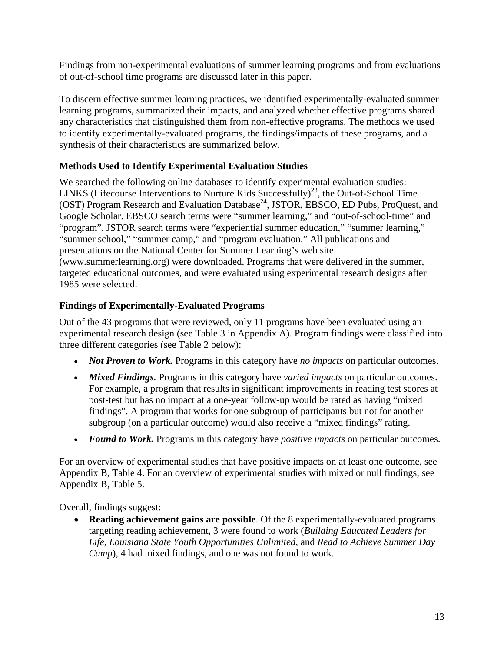Findings from non-experimental evaluations of summer learning programs and from evaluations of out-of-school time programs are discussed later in this paper.

To discern effective summer learning practices, we identified experimentally-evaluated summer learning programs, summarized their impacts, and analyzed whether effective programs shared any characteristics that distinguished them from non-effective programs. The methods we used to identify experimentally-evaluated programs, the findings/impacts of these programs, and a synthesis of their characteristics are summarized below.

#### **Methods Used to Identify Experimental Evaluation Studies**

We searched the following online databases to identify experimental evaluation studies:  $-$ LINKS (Lifecourse Interventions to Nurture Kids Successfully)<sup>23</sup>, the Out-of-School Time (OST) Program Research and Evaluation Database<sup>24</sup>, JSTOR, EBSCO, ED Pubs, ProQuest, and Google Scholar. EBSCO search terms were "summer learning," and "out-of-school-time" and "program". JSTOR search terms were "experiential summer education," "summer learning," "summer school," "summer camp," and "program evaluation." All publications and presentations on the National Center for Summer Learning's web site (www.summerlearning.org) were downloaded. Programs that were delivered in the summer, targeted educational outcomes, and were evaluated using experimental research designs after 1985 were selected.

#### **Findings of Experimentally-Evaluated Programs**

Out of the 43 programs that were reviewed, only 11 programs have been evaluated using an experimental research design (see Table 3 in Appendix A). Program findings were classified into three different categories (see Table 2 below):

- *Not Proven to Work.* Programs in this category have *no impacts* on particular outcomes.
- *Mixed Findings.* Programs in this category have *varied impacts* on particular outcomes. For example, a program that results in significant improvements in reading test scores at post-test but has no impact at a one-year follow-up would be rated as having "mixed findings". A program that works for one subgroup of participants but not for another subgroup (on a particular outcome) would also receive a "mixed findings" rating.
- *Found to Work.* Programs in this category have *positive impacts* on particular outcomes.

For an overview of experimental studies that have positive impacts on at least one outcome, see Appendix B, Table 4. For an overview of experimental studies with mixed or null findings, see Appendix B, Table 5.

Overall, findings suggest:

 **Reading achievement gains are possible**. Of the 8 experimentally-evaluated programs targeting reading achievement, 3 were found to work (*Building Educated Leaders for Life, Louisiana State Youth Opportunities Unlimited*, and *Read to Achieve Summer Day Camp*), 4 had mixed findings, and one was not found to work.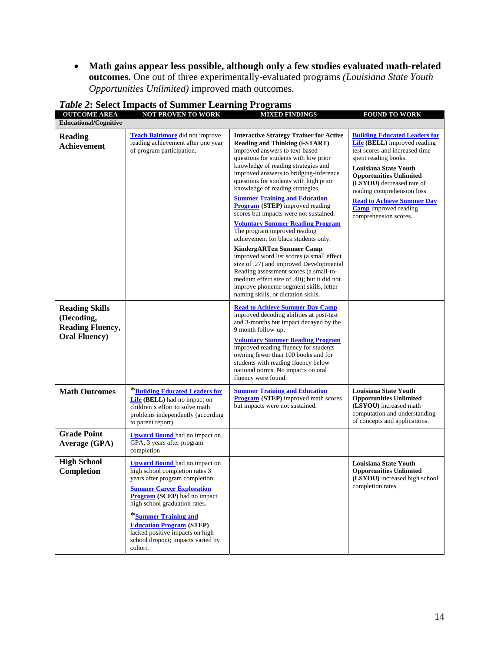**Math gains appear less possible, although only a few studies evaluated math-related outcomes.** One out of three experimentally-evaluated programs *(Louisiana State Youth Opportunities Unlimited)* improved math outcomes.

| <b>OUTCOME AREA</b><br><b>Educational/Cognitive</b>                                     | <b>NOT PROVEN TO WORK</b>                                                                                                                                                                                                                                                                                                                                          | <b>MIXED FINDINGS</b>                                                                                                                                                                                                                                                                                                                                                                                                                                                                                                                                                                                                                                                                                                                                                                                                                                                                | <b>FOUND TO WORK</b>                                                                                                                                                                                                                                                                                                                                             |
|-----------------------------------------------------------------------------------------|--------------------------------------------------------------------------------------------------------------------------------------------------------------------------------------------------------------------------------------------------------------------------------------------------------------------------------------------------------------------|--------------------------------------------------------------------------------------------------------------------------------------------------------------------------------------------------------------------------------------------------------------------------------------------------------------------------------------------------------------------------------------------------------------------------------------------------------------------------------------------------------------------------------------------------------------------------------------------------------------------------------------------------------------------------------------------------------------------------------------------------------------------------------------------------------------------------------------------------------------------------------------|------------------------------------------------------------------------------------------------------------------------------------------------------------------------------------------------------------------------------------------------------------------------------------------------------------------------------------------------------------------|
| <b>Reading</b><br>Achievement                                                           | <b>Teach Baltimore</b> did not improve<br>reading achievement after one year<br>of program participation.                                                                                                                                                                                                                                                          | <b>Interactive Strategy Trainer for Active</b><br><b>Reading and Thinking (i-START)</b><br>improved answers to text-based<br>questions for students with low prior<br>knowledge of reading strategies and<br>improved answers to bridging-inference<br>questions for students with high prior<br>knowledge of reading strategies.<br><b>Summer Training and Education</b><br><b>Program</b> (STEP) improved reading<br>scores but impacts were not sustained.<br><b>Voluntary Summer Reading Program</b><br>The program improved reading<br>achievement for black students only.<br><b>KindergARTen Summer Camp</b><br>improved word list scores (a small effect<br>size of .27) and improved Developmental<br>Reading assessment scores (a small-to-<br>medium effect size of .40); but it did not<br>improve phoneme segment skills, letter<br>naming skills, or dictation skills. | <b>Building Educated Leaders for</b><br><b>Life</b> (BELL) improved reading<br>test scores and increased time<br>spent reading books.<br><b>Louisiana State Youth</b><br><b>Opportunities Unlimited</b><br>(LSYOU) decreased rate of<br>reading comprehension loss<br><b>Read to Achieve Summer Day</b><br><b>Camp</b> improved reading<br>comprehension scores. |
| <b>Reading Skills</b><br>(Decoding,<br><b>Reading Fluency,</b><br><b>Oral Fluency</b> ) |                                                                                                                                                                                                                                                                                                                                                                    | <b>Read to Achieve Summer Day Camp</b><br>improved decoding abilities at post-test<br>and 3-months but impact decayed by the<br>9 month follow-up.<br><b>Voluntary Summer Reading Program</b><br>improved reading fluency for students<br>owning fewer than 100 books and for<br>students with reading fluency below<br>national norms. No impacts on oral<br>fluency were found.                                                                                                                                                                                                                                                                                                                                                                                                                                                                                                    |                                                                                                                                                                                                                                                                                                                                                                  |
| <b>Math Outcomes</b>                                                                    | *Building Educated Leaders for<br><b>Life (BELL)</b> had no impact on<br>children's effort to solve math<br>problems independently (according<br>to parent report)                                                                                                                                                                                                 | <b>Summer Training and Education</b><br><b>Program (STEP)</b> improved math scores<br>but impacts were not sustained.                                                                                                                                                                                                                                                                                                                                                                                                                                                                                                                                                                                                                                                                                                                                                                | Louisiana State Youth<br><b>Opportunities Unlimited</b><br>(LSYOU) increased math<br>computation and understanding<br>of concepts and applications.                                                                                                                                                                                                              |
| <b>Grade Point</b><br><b>Average (GPA)</b>                                              | <b>Upward Bound</b> had no impact on<br>GPA, 3 years after program<br>completion                                                                                                                                                                                                                                                                                   |                                                                                                                                                                                                                                                                                                                                                                                                                                                                                                                                                                                                                                                                                                                                                                                                                                                                                      |                                                                                                                                                                                                                                                                                                                                                                  |
| <b>High School</b><br><b>Completion</b>                                                 | <b>Upward Bound</b> had no impact on<br>high school completion rates 3<br>years after program completion<br><b>Summer Career Exploration</b><br><b>Program (SCEP)</b> had no impact<br>high school graduation rates.<br>*Summer Training and<br><b>Education Program (STEP)</b><br>lacked positive impacts on high<br>school dropout; impacts varied by<br>cohort. |                                                                                                                                                                                                                                                                                                                                                                                                                                                                                                                                                                                                                                                                                                                                                                                                                                                                                      | Louisiana State Youth<br><b>Opportunities Unlimited</b><br>(LSYOU) increased high school<br>completion rates.                                                                                                                                                                                                                                                    |

*Table 2***: Select Impacts of Summer Learning Programs**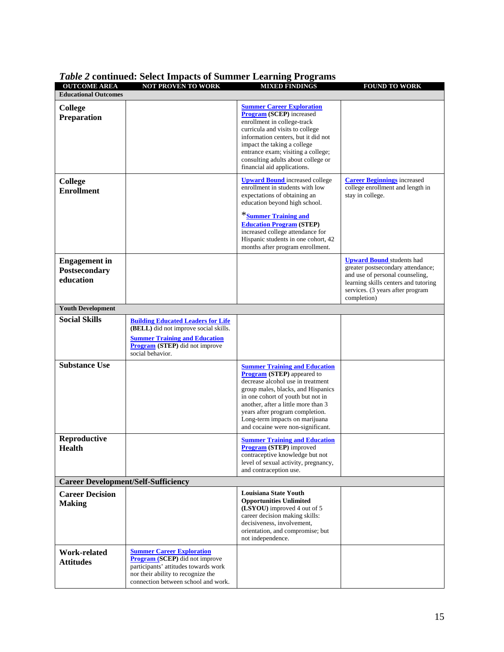| <b>OUTCOME AREA</b>                                       | <b>NOT PROVEN TO WORK</b>                                                                                                                                                                      | <b>MIXED FINDINGS</b>                                                                                                                                                                                                                                                                                                                      | <b>FOUND TO WORK</b>                                                                                                                                                                                |  |  |
|-----------------------------------------------------------|------------------------------------------------------------------------------------------------------------------------------------------------------------------------------------------------|--------------------------------------------------------------------------------------------------------------------------------------------------------------------------------------------------------------------------------------------------------------------------------------------------------------------------------------------|-----------------------------------------------------------------------------------------------------------------------------------------------------------------------------------------------------|--|--|
| <b>Educational Outcomes</b>                               |                                                                                                                                                                                                |                                                                                                                                                                                                                                                                                                                                            |                                                                                                                                                                                                     |  |  |
| College<br><b>Preparation</b>                             |                                                                                                                                                                                                | <b>Summer Career Exploration</b><br><b>Program (SCEP)</b> increased<br>enrollment in college-track<br>curricula and visits to college<br>information centers, but it did not<br>impact the taking a college<br>entrance exam; visiting a college;<br>consulting adults about college or<br>financial aid applications.                     |                                                                                                                                                                                                     |  |  |
| <b>College</b><br><b>Enrollment</b>                       |                                                                                                                                                                                                | <b>Upward Bound</b> increased college<br>enrollment in students with low<br>expectations of obtaining an<br>education beyond high school.<br>*Summer Training and<br><b>Education Program (STEP)</b>                                                                                                                                       | <b>Career Beginnings</b> increased<br>college enrollment and length in<br>stay in college.                                                                                                          |  |  |
|                                                           |                                                                                                                                                                                                | increased college attendance for<br>Hispanic students in one cohort, 42<br>months after program enrollment.                                                                                                                                                                                                                                |                                                                                                                                                                                                     |  |  |
| <b>Engagement</b> in<br><b>Postsecondary</b><br>education |                                                                                                                                                                                                |                                                                                                                                                                                                                                                                                                                                            | <b>Upward Bound</b> students had<br>greater postsecondary attendance;<br>and use of personal counseling,<br>learning skills centers and tutoring<br>services. (3 years after program<br>completion) |  |  |
| <b>Youth Development</b>                                  |                                                                                                                                                                                                |                                                                                                                                                                                                                                                                                                                                            |                                                                                                                                                                                                     |  |  |
| <b>Social Skills</b>                                      | <b>Building Educated Leaders for Life</b><br>(BELL) did not improve social skills.<br><b>Summer Training and Education</b><br><b>Program</b> (STEP) did not improve<br>social behavior.        |                                                                                                                                                                                                                                                                                                                                            |                                                                                                                                                                                                     |  |  |
| <b>Substance Use</b>                                      |                                                                                                                                                                                                | <b>Summer Training and Education</b><br><b>Program</b> (STEP) appeared to<br>decrease alcohol use in treatment<br>group males, blacks, and Hispanics<br>in one cohort of youth but not in<br>another, after a little more than 3<br>years after program completion.<br>Long-term impacts on marijuana<br>and cocaine were non-significant. |                                                                                                                                                                                                     |  |  |
| Reproductive<br><b>Health</b>                             |                                                                                                                                                                                                | <b>Summer Training and Education</b><br><b>Program (STEP)</b> improved<br>contraceptive knowledge but not<br>level of sexual activity, pregnancy,<br>and contraception use.                                                                                                                                                                |                                                                                                                                                                                                     |  |  |
| <b>Career Development/Self-Sufficiency</b>                |                                                                                                                                                                                                |                                                                                                                                                                                                                                                                                                                                            |                                                                                                                                                                                                     |  |  |
| <b>Career Decision</b><br><b>Making</b>                   |                                                                                                                                                                                                | <b>Louisiana State Youth</b><br><b>Opportunities Unlimited</b><br>(LSYOU) improved 4 out of 5<br>career decision making skills:<br>decisiveness, involvement,<br>orientation, and compromise; but<br>not independence.                                                                                                                     |                                                                                                                                                                                                     |  |  |
| Work-related<br><b>Attitudes</b>                          | <b>Summer Career Exploration</b><br><b>Program (SCEP)</b> did not improve<br>participants' attitudes towards work<br>nor their ability to recognize the<br>connection between school and work. |                                                                                                                                                                                                                                                                                                                                            |                                                                                                                                                                                                     |  |  |

#### *Table 2* **continued: Select Impacts of Summer Learning Programs**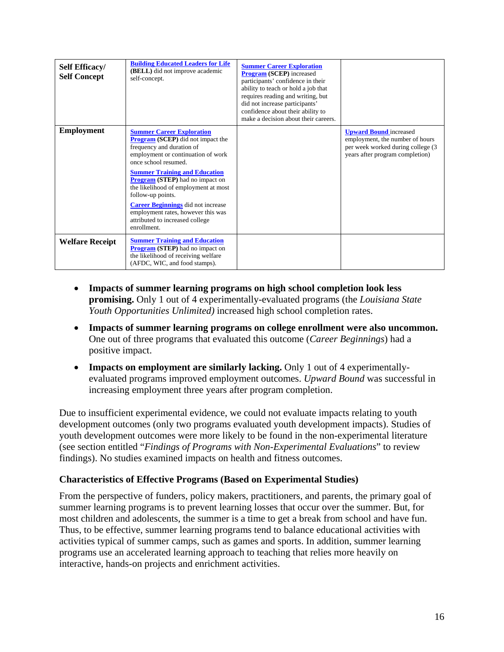| <b>Self Efficacy/</b><br><b>Self Concept</b> | <b>Building Educated Leaders for Life</b><br>(BELL) did not improve academic<br>self-concept.                                                                                                                                                                                                                                                                                                                                                               | <b>Summer Career Exploration</b><br><b>Program (SCEP)</b> increased<br>participants' confidence in their<br>ability to teach or hold a job that<br>requires reading and writing, but<br>did not increase participants'<br>confidence about their ability to<br>make a decision about their careers. |                                                                                                                                          |
|----------------------------------------------|-------------------------------------------------------------------------------------------------------------------------------------------------------------------------------------------------------------------------------------------------------------------------------------------------------------------------------------------------------------------------------------------------------------------------------------------------------------|-----------------------------------------------------------------------------------------------------------------------------------------------------------------------------------------------------------------------------------------------------------------------------------------------------|------------------------------------------------------------------------------------------------------------------------------------------|
| <b>Employment</b>                            | <b>Summer Career Exploration</b><br><b>Program (SCEP)</b> did not impact the<br>frequency and duration of<br>employment or continuation of work<br>once school resumed.<br><b>Summer Training and Education</b><br><b>Program (STEP)</b> had no impact on<br>the likelihood of employment at most<br>follow-up points.<br><b>Career Beginnings</b> did not increase<br>employment rates, however this was<br>attributed to increased college<br>enrollment. |                                                                                                                                                                                                                                                                                                     | <b>Upward Bound</b> increased<br>employment, the number of hours<br>per week worked during college (3<br>years after program completion) |
| <b>Welfare Receipt</b>                       | <b>Summer Training and Education</b><br><b>Program</b> (STEP) had no impact on<br>the likelihood of receiving welfare<br>(AFDC, WIC, and food stamps).                                                                                                                                                                                                                                                                                                      |                                                                                                                                                                                                                                                                                                     |                                                                                                                                          |

- **Impacts of summer learning programs on high school completion look less promising.** Only 1 out of 4 experimentally-evaluated programs (the *Louisiana State Youth Opportunities Unlimited)* increased high school completion rates.
- **Impacts of summer learning programs on college enrollment were also uncommon.**  One out of three programs that evaluated this outcome (*Career Beginnings*) had a positive impact.
- **Impacts on employment are similarly lacking.** Only 1 out of 4 experimentallyevaluated programs improved employment outcomes. *Upward Bound* was successful in increasing employment three years after program completion.

Due to insufficient experimental evidence, we could not evaluate impacts relating to youth development outcomes (only two programs evaluated youth development impacts). Studies of youth development outcomes were more likely to be found in the non-experimental literature (see section entitled "*Findings of Programs with Non-Experimental Evaluations*" to review findings). No studies examined impacts on health and fitness outcomes.

#### **Characteristics of Effective Programs (Based on Experimental Studies)**

From the perspective of funders, policy makers, practitioners, and parents, the primary goal of summer learning programs is to prevent learning losses that occur over the summer. But, for most children and adolescents, the summer is a time to get a break from school and have fun. Thus, to be effective, summer learning programs tend to balance educational activities with activities typical of summer camps, such as games and sports. In addition, summer learning programs use an accelerated learning approach to teaching that relies more heavily on interactive, hands-on projects and enrichment activities.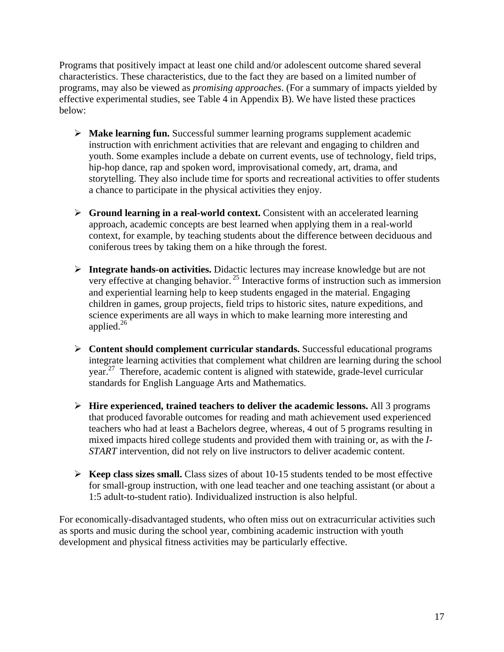Programs that positively impact at least one child and/or adolescent outcome shared several characteristics. These characteristics, due to the fact they are based on a limited number of programs, may also be viewed as *promising approaches*. (For a summary of impacts yielded by effective experimental studies, see Table 4 in Appendix B). We have listed these practices below:

- **Make learning fun.** Successful summer learning programs supplement academic instruction with enrichment activities that are relevant and engaging to children and youth. Some examples include a debate on current events, use of technology, field trips, hip-hop dance, rap and spoken word, improvisational comedy, art, drama, and storytelling. They also include time for sports and recreational activities to offer students a chance to participate in the physical activities they enjoy.
- **Figure 2** Ground learning in a real-world context. Consistent with an accelerated learning approach, academic concepts are best learned when applying them in a real-world context, for example, by teaching students about the difference between deciduous and coniferous trees by taking them on a hike through the forest.
- **Integrate hands-on activities.** Didactic lectures may increase knowledge but are not very effective at changing behavior. 25 Interactive forms of instruction such as immersion and experiential learning help to keep students engaged in the material. Engaging children in games, group projects, field trips to historic sites, nature expeditions, and science experiments are all ways in which to make learning more interesting and applied. $^{26}$
- **Content should complement curricular standards.** Successful educational programs integrate learning activities that complement what children are learning during the school year.27 Therefore, academic content is aligned with statewide, grade-level curricular standards for English Language Arts and Mathematics.
- **Hire experienced, trained teachers to deliver the academic lessons.** All 3 programs that produced favorable outcomes for reading and math achievement used experienced teachers who had at least a Bachelors degree, whereas, 4 out of 5 programs resulting in mixed impacts hired college students and provided them with training or, as with the *I-START* intervention, did not rely on live instructors to deliver academic content.
- $\triangleright$  **Keep class sizes small.** Class sizes of about 10-15 students tended to be most effective for small-group instruction, with one lead teacher and one teaching assistant (or about a 1:5 adult-to-student ratio). Individualized instruction is also helpful.

For economically-disadvantaged students, who often miss out on extracurricular activities such as sports and music during the school year, combining academic instruction with youth development and physical fitness activities may be particularly effective.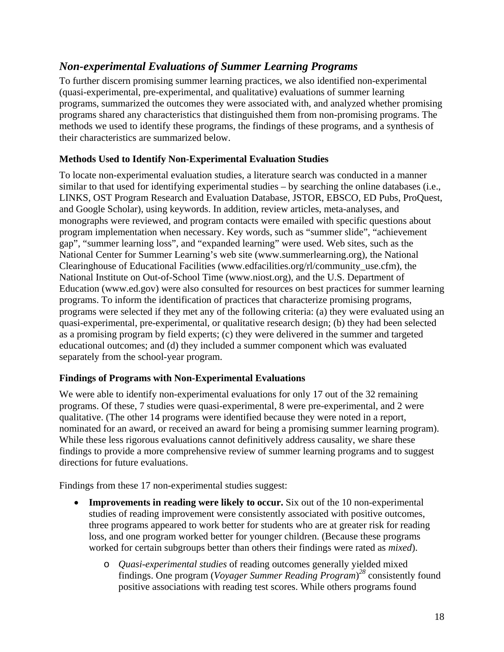## *Non-experimental Evaluations of Summer Learning Programs*

To further discern promising summer learning practices, we also identified non-experimental (quasi-experimental, pre-experimental, and qualitative) evaluations of summer learning programs, summarized the outcomes they were associated with, and analyzed whether promising programs shared any characteristics that distinguished them from non-promising programs. The methods we used to identify these programs, the findings of these programs, and a synthesis of their characteristics are summarized below.

#### **Methods Used to Identify Non-Experimental Evaluation Studies**

To locate non-experimental evaluation studies, a literature search was conducted in a manner similar to that used for identifying experimental studies – by searching the online databases (i.e., LINKS, OST Program Research and Evaluation Database, JSTOR, EBSCO, ED Pubs, ProQuest, and Google Scholar), using keywords. In addition, review articles, meta-analyses, and monographs were reviewed, and program contacts were emailed with specific questions about program implementation when necessary. Key words, such as "summer slide", "achievement gap", "summer learning loss", and "expanded learning" were used. Web sites, such as the National Center for Summer Learning's web site (www.summerlearning.org), the National Clearinghouse of Educational Facilities (www.edfacilities.org/rl/community\_use.cfm), the National Institute on Out-of-School Time (www.niost.org), and the U.S. Department of Education (www.ed.gov) were also consulted for resources on best practices for summer learning programs. To inform the identification of practices that characterize promising programs, programs were selected if they met any of the following criteria: (a) they were evaluated using an quasi-experimental, pre-experimental, or qualitative research design; (b) they had been selected as a promising program by field experts; (c) they were delivered in the summer and targeted educational outcomes; and (d) they included a summer component which was evaluated separately from the school-year program.

#### **Findings of Programs with Non-Experimental Evaluations**

We were able to identify non-experimental evaluations for only 17 out of the 32 remaining programs. Of these, 7 studies were quasi-experimental, 8 were pre-experimental, and 2 were qualitative. (The other 14 programs were identified because they were noted in a report, nominated for an award, or received an award for being a promising summer learning program). While these less rigorous evaluations cannot definitively address causality, we share these findings to provide a more comprehensive review of summer learning programs and to suggest directions for future evaluations.

Findings from these 17 non-experimental studies suggest:

- **Improvements in reading were likely to occur.** Six out of the 10 non-experimental studies of reading improvement were consistently associated with positive outcomes, three programs appeared to work better for students who are at greater risk for reading loss, and one program worked better for younger children. (Because these programs worked for certain subgroups better than others their findings were rated as *mixed*).
	- o *Quasi-experimental studies* of reading outcomes generally yielded mixed findings. One program (*Voyager Summer Reading Program*) *<sup>28</sup>* consistently found positive associations with reading test scores. While others programs found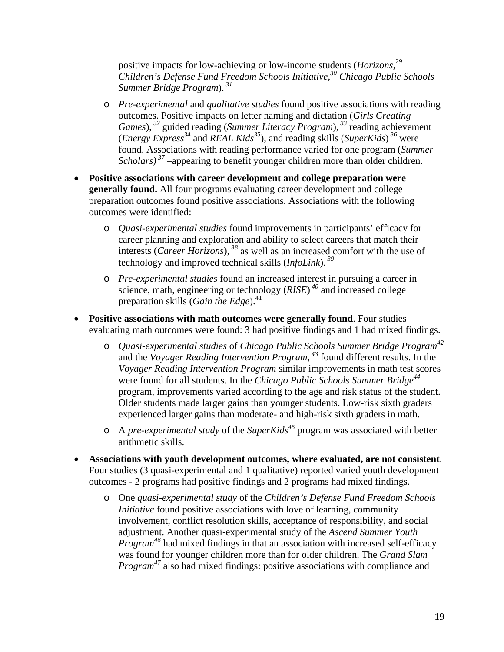positive impacts for low-achieving or low-income students (*Horizons,29 Children's Defense Fund Freedom Schools Initiative,30 Chicago Public Schools Summer Bridge Program*).*<sup>31</sup>*

- o *Pre-experimental* and *qualitative studies* found positive associations with reading outcomes. Positive impacts on letter naming and dictation (*Girls Creating Games*),<sup>32</sup> guided reading (*Summer Literacy Program*),<sup>33</sup> reading achievement (*Energy Express*<sup>34</sup> and *REAL Kids*<sup>35</sup>), and reading skills (*SuperKids*)<sup>36</sup> were found. Associations with reading performance varied for one program (*Summer Scholars*)<sup>37</sup> –appearing to benefit younger children more than older children.
- **Positive associations with career development and college preparation were generally found.** All four programs evaluating career development and college preparation outcomes found positive associations. Associations with the following outcomes were identified:
	- o *Quasi-experimental studies* found improvements in participants' efficacy for career planning and exploration and ability to select careers that match their interests (*Career Horizons*),*<sup>38</sup>* as well as an increased comfort with the use of technology and improved technical skills (*InfoLink*).*<sup>39</sup>*
	- o *Pre-experimental studies* found an increased interest in pursuing a career in science, math, engineering or technology (*RISE*) *<sup>40</sup>* and increased college preparation skills (*Gain the Edge*).41
- **Positive associations with math outcomes were generally found**. Four studies evaluating math outcomes were found: 3 had positive findings and 1 had mixed findings.
	- o *Quasi-experimental studies* of *Chicago Public Schools Summer Bridge Program42* and the *Voyager Reading Intervention Program*, *<sup>43</sup>* found different results. In the *Voyager Reading Intervention Program* similar improvements in math test scores were found for all students. In the *Chicago Public Schools Summer Bridge*<sup>44</sup> program, improvements varied according to the age and risk status of the student. Older students made larger gains than younger students. Low-risk sixth graders experienced larger gains than moderate- and high-risk sixth graders in math.
	- o A *pre-experimental study* of the *SuperKids45* program was associated with better arithmetic skills.
- **Associations with youth development outcomes, where evaluated, are not consistent**. Four studies (3 quasi-experimental and 1 qualitative) reported varied youth development outcomes - 2 programs had positive findings and 2 programs had mixed findings.
	- o One *quasi-experimental study* of the *Children's Defense Fund Freedom Schools Initiative* found positive associations with love of learning, community involvement, conflict resolution skills, acceptance of responsibility, and social adjustment. Another quasi-experimental study of the *Ascend Summer Youth Program<sup>46</sup>* had mixed findings in that an association with increased self-efficacy was found for younger children more than for older children. The *Grand Slam Program<sup>47</sup>* also had mixed findings: positive associations with compliance and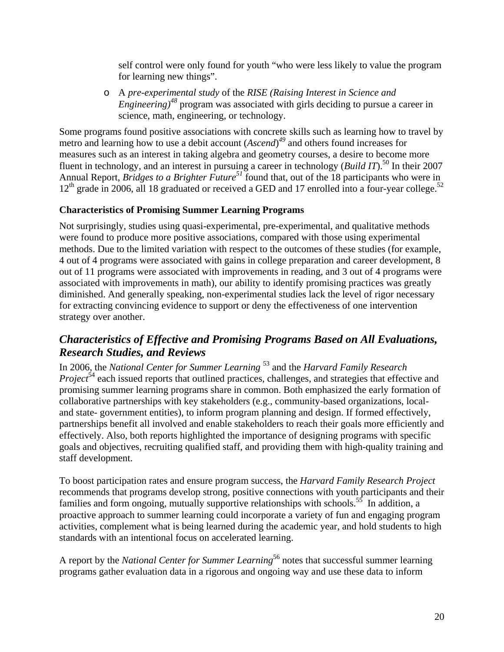self control were only found for youth "who were less likely to value the program for learning new things".

o A *pre-experimental study* of the *RISE (Raising Interest in Science and Engineering)<sup>48</sup>* program was associated with girls deciding to pursue a career in science, math, engineering, or technology.

Some programs found positive associations with concrete skills such as learning how to travel by metro and learning how to use a debit account (*Ascend*) *<sup>49</sup>* and others found increases for measures such as an interest in taking algebra and geometry courses, a desire to become more fluent in technology, and an interest in pursuing a career in technology (*Build IT*).<sup>50</sup> In their 2007 Annual Report, *Bridges to a Brighter Future51* found that, out of the 18 participants who were in 12<sup>th</sup> grade in 2006, all 18 graduated or received a GED and 17 enrolled into a four-year college.<sup>52</sup>

#### **Characteristics of Promising Summer Learning Programs**

Not surprisingly, studies using quasi-experimental, pre-experimental, and qualitative methods were found to produce more positive associations, compared with those using experimental methods. Due to the limited variation with respect to the outcomes of these studies (for example, 4 out of 4 programs were associated with gains in college preparation and career development, 8 out of 11 programs were associated with improvements in reading, and 3 out of 4 programs were associated with improvements in math), our ability to identify promising practices was greatly diminished. And generally speaking, non-experimental studies lack the level of rigor necessary for extracting convincing evidence to support or deny the effectiveness of one intervention strategy over another.

## *Characteristics of Effective and Promising Programs Based on All Evaluations, Research Studies, and Reviews*

In 2006, the *National Center for Summer Learning* 53 and the *Harvard Family Research Project*<sup>54</sup> each issued reports that outlined practices, challenges, and strategies that effective and promising summer learning programs share in common. Both emphasized the early formation of collaborative partnerships with key stakeholders (e.g., community-based organizations, localand state- government entities), to inform program planning and design. If formed effectively, partnerships benefit all involved and enable stakeholders to reach their goals more efficiently and effectively. Also, both reports highlighted the importance of designing programs with specific goals and objectives, recruiting qualified staff, and providing them with high-quality training and staff development.

To boost participation rates and ensure program success, the *Harvard Family Research Project* recommends that programs develop strong, positive connections with youth participants and their families and form ongoing, mutually supportive relationships with schools.<sup>55</sup> In addition, a proactive approach to summer learning could incorporate a variety of fun and engaging program activities, complement what is being learned during the academic year, and hold students to high standards with an intentional focus on accelerated learning.

A report by the *National Center for Summer Learning*<sup>56</sup> notes that successful summer learning programs gather evaluation data in a rigorous and ongoing way and use these data to inform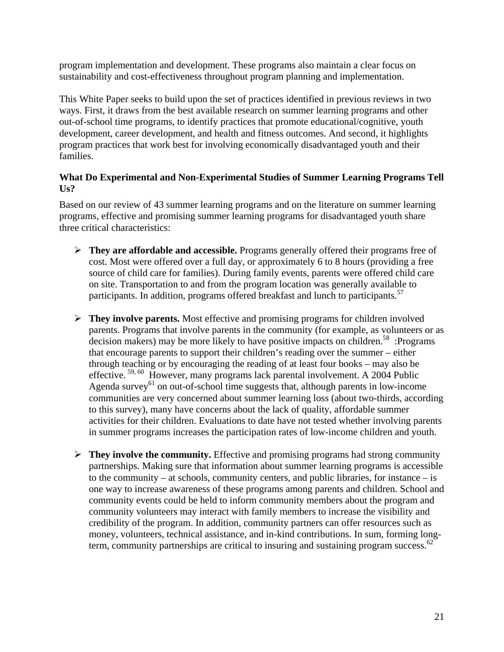program implementation and development. These programs also maintain a clear focus on sustainability and cost-effectiveness throughout program planning and implementation.

This White Paper seeks to build upon the set of practices identified in previous reviews in two ways. First, it draws from the best available research on summer learning programs and other out-of-school time programs, to identify practices that promote educational/cognitive, youth development, career development, and health and fitness outcomes. And second, it highlights program practices that work best for involving economically disadvantaged youth and their families.

#### **What Do Experimental and Non-Experimental Studies of Summer Learning Programs Tell Us?**

Based on our review of 43 summer learning programs and on the literature on summer learning programs, effective and promising summer learning programs for disadvantaged youth share three critical characteristics:

- **They are affordable and accessible.** Programs generally offered their programs free of cost. Most were offered over a full day, or approximately 6 to 8 hours (providing a free source of child care for families). During family events, parents were offered child care on site. Transportation to and from the program location was generally available to participants. In addition, programs offered breakfast and lunch to participants.<sup>57</sup>
- **They involve parents.** Most effective and promising programs for children involved parents. Programs that involve parents in the community (for example, as volunteers or as decision makers) may be more likely to have positive impacts on children.<sup>58</sup> :Programs that encourage parents to support their children's reading over the summer – either through teaching or by encouraging the reading of at least four books – may also be effective.<sup>59, 60</sup> However, many programs lack parental involvement. A 2004 Public Agenda survey<sup>61</sup> on out-of-school time suggests that, although parents in low-income communities are very concerned about summer learning loss (about two-thirds, according to this survey), many have concerns about the lack of quality, affordable summer activities for their children. Evaluations to date have not tested whether involving parents in summer programs increases the participation rates of low-income children and youth.
- $\triangleright$  **They involve the community.** Effective and promising programs had strong community partnerships. Making sure that information about summer learning programs is accessible to the community – at schools, community centers, and public libraries, for instance – is one way to increase awareness of these programs among parents and children. School and community events could be held to inform community members about the program and community volunteers may interact with family members to increase the visibility and credibility of the program. In addition, community partners can offer resources such as money, volunteers, technical assistance, and in-kind contributions. In sum, forming longterm, community partnerships are critical to insuring and sustaining program success.<sup>62</sup>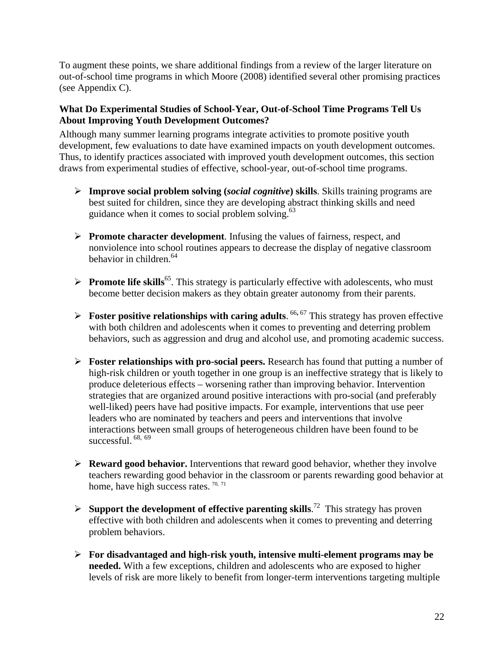To augment these points, we share additional findings from a review of the larger literature on out-of-school time programs in which Moore (2008) identified several other promising practices (see Appendix C).

#### **What Do Experimental Studies of School-Year, Out-of-School Time Programs Tell Us About Improving Youth Development Outcomes?**

Although many summer learning programs integrate activities to promote positive youth development, few evaluations to date have examined impacts on youth development outcomes. Thus, to identify practices associated with improved youth development outcomes, this section draws from experimental studies of effective, school-year, out-of-school time programs.

- **Improve social problem solving (***social cognitive***) skills**. Skills training programs are best suited for children, since they are developing abstract thinking skills and need guidance when it comes to social problem solving.<sup>63</sup>
- **Promote character development**. Infusing the values of fairness, respect, and nonviolence into school routines appears to decrease the display of negative classroom behavior in children.  $64$
- **Promote life skills**<sup>65</sup>. This strategy is particularly effective with adolescents, who must become better decision makers as they obtain greater autonomy from their parents.
- **►** Foster positive relationships with caring adults. <sup>66, 67</sup> This strategy has proven effective with both children and adolescents when it comes to preventing and deterring problem behaviors, such as aggression and drug and alcohol use, and promoting academic success.
- **Foster relationships with pro-social peers.** Research has found that putting a number of high-risk children or youth together in one group is an ineffective strategy that is likely to produce deleterious effects – worsening rather than improving behavior. Intervention strategies that are organized around positive interactions with pro-social (and preferably well-liked) peers have had positive impacts. For example, interventions that use peer leaders who are nominated by teachers and peers and interventions that involve interactions between small groups of heterogeneous children have been found to be successful.  $68, 69$
- **Reward good behavior.** Interventions that reward good behavior, whether they involve teachers rewarding good behavior in the classroom or parents rewarding good behavior at home, have high success rates.  $70, 71$
- $\triangleright$  **Support the development of effective parenting skills.**<sup>72</sup> This strategy has proven effective with both children and adolescents when it comes to preventing and deterring problem behaviors.
- **For disadvantaged and high-risk youth, intensive multi-element programs may be needed.** With a few exceptions, children and adolescents who are exposed to higher levels of risk are more likely to benefit from longer-term interventions targeting multiple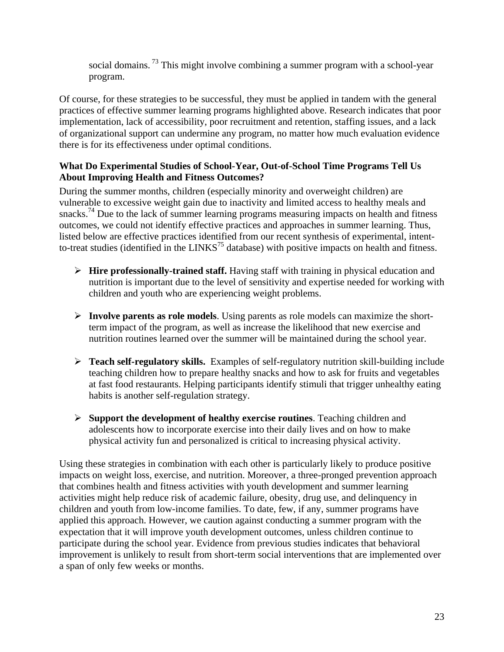social domains.<sup>73</sup> This might involve combining a summer program with a school-year program.

Of course, for these strategies to be successful, they must be applied in tandem with the general practices of effective summer learning programs highlighted above. Research indicates that poor implementation, lack of accessibility, poor recruitment and retention, staffing issues, and a lack of organizational support can undermine any program, no matter how much evaluation evidence there is for its effectiveness under optimal conditions.

#### **What Do Experimental Studies of School-Year, Out-of-School Time Programs Tell Us About Improving Health and Fitness Outcomes?**

During the summer months, children (especially minority and overweight children) are vulnerable to excessive weight gain due to inactivity and limited access to healthy meals and snacks.<sup>74</sup> Due to the lack of summer learning programs measuring impacts on health and fitness outcomes, we could not identify effective practices and approaches in summer learning. Thus, listed below are effective practices identified from our recent synthesis of experimental, intentto-treat studies (identified in the LINKS<sup>75</sup> database) with positive impacts on health and fitness.

- **Hire professionally-trained staff.** Having staff with training in physical education and nutrition is important due to the level of sensitivity and expertise needed for working with children and youth who are experiencing weight problems.
- **Involve parents as role models**. Using parents as role models can maximize the shortterm impact of the program, as well as increase the likelihood that new exercise and nutrition routines learned over the summer will be maintained during the school year.
- **Teach self-regulatory skills.** Examples of self-regulatory nutrition skill-building include teaching children how to prepare healthy snacks and how to ask for fruits and vegetables at fast food restaurants. Helping participants identify stimuli that trigger unhealthy eating habits is another self-regulation strategy.
- **Support the development of healthy exercise routines**. Teaching children and adolescents how to incorporate exercise into their daily lives and on how to make physical activity fun and personalized is critical to increasing physical activity.

Using these strategies in combination with each other is particularly likely to produce positive impacts on weight loss, exercise, and nutrition. Moreover, a three-pronged prevention approach that combines health and fitness activities with youth development and summer learning activities might help reduce risk of academic failure, obesity, drug use, and delinquency in children and youth from low-income families. To date, few, if any, summer programs have applied this approach. However, we caution against conducting a summer program with the expectation that it will improve youth development outcomes, unless children continue to participate during the school year. Evidence from previous studies indicates that behavioral improvement is unlikely to result from short-term social interventions that are implemented over a span of only few weeks or months.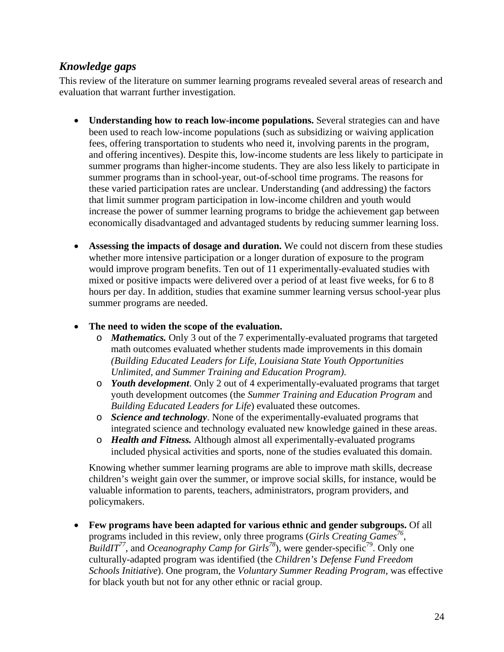## *Knowledge gaps*

This review of the literature on summer learning programs revealed several areas of research and evaluation that warrant further investigation.

- **Understanding how to reach low-income populations.** Several strategies can and have been used to reach low-income populations (such as subsidizing or waiving application fees, offering transportation to students who need it, involving parents in the program, and offering incentives). Despite this, low-income students are less likely to participate in summer programs than higher-income students. They are also less likely to participate in summer programs than in school-year, out-of-school time programs. The reasons for these varied participation rates are unclear. Understanding (and addressing) the factors that limit summer program participation in low-income children and youth would increase the power of summer learning programs to bridge the achievement gap between economically disadvantaged and advantaged students by reducing summer learning loss.
- **Assessing the impacts of dosage and duration.** We could not discern from these studies whether more intensive participation or a longer duration of exposure to the program would improve program benefits. Ten out of 11 experimentally-evaluated studies with mixed or positive impacts were delivered over a period of at least five weeks, for 6 to 8 hours per day. In addition, studies that examine summer learning versus school-year plus summer programs are needed.
- **The need to widen the scope of the evaluation.**
	- o *Mathematics.* Only 3 out of the 7 experimentally-evaluated programs that targeted math outcomes evaluated whether students made improvements in this domain *(Building Educated Leaders for Life, Louisiana State Youth Opportunities Unlimited, and Summer Training and Education Program)*.
	- o *Youth development*. Only 2 out of 4 experimentally-evaluated programs that target youth development outcomes (the *Summer Training and Education Program* and *Building Educated Leaders for Life*) evaluated these outcomes.
	- o *Science and technology*. None of the experimentally-evaluated programs that integrated science and technology evaluated new knowledge gained in these areas.
	- o *Health and Fitness.* Although almost all experimentally-evaluated programs included physical activities and sports, none of the studies evaluated this domain.

Knowing whether summer learning programs are able to improve math skills, decrease children's weight gain over the summer, or improve social skills, for instance, would be valuable information to parents, teachers, administrators, program providers, and policymakers.

 **Few programs have been adapted for various ethnic and gender subgroups.** Of all programs included in this review, only three programs (*Girls Creating Games<sup>76</sup>*, *BuildIT*<sup>77</sup>, and *Oceanography Camp for Girls*<sup>78</sup>), were gender-specific<sup>79</sup>. Only one culturally-adapted program was identified (the *Children's Defense Fund Freedom Schools Initiative*). One program, the *Voluntary Summer Reading Program*, was effective for black youth but not for any other ethnic or racial group.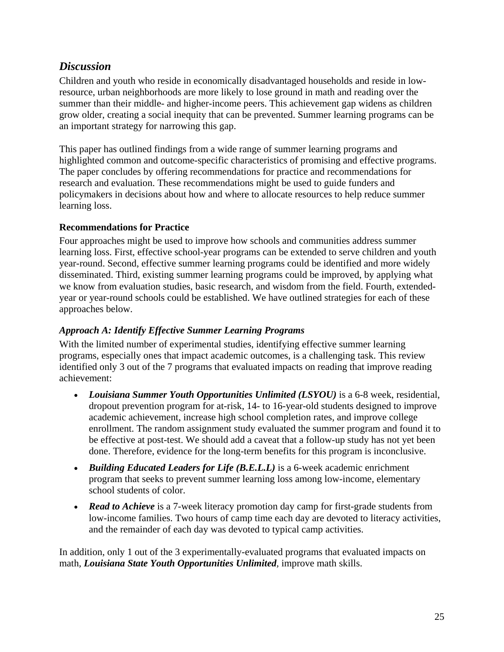## *Discussion*

Children and youth who reside in economically disadvantaged households and reside in lowresource, urban neighborhoods are more likely to lose ground in math and reading over the summer than their middle- and higher-income peers. This achievement gap widens as children grow older, creating a social inequity that can be prevented. Summer learning programs can be an important strategy for narrowing this gap.

This paper has outlined findings from a wide range of summer learning programs and highlighted common and outcome-specific characteristics of promising and effective programs. The paper concludes by offering recommendations for practice and recommendations for research and evaluation. These recommendations might be used to guide funders and policymakers in decisions about how and where to allocate resources to help reduce summer learning loss.

#### **Recommendations for Practice**

Four approaches might be used to improve how schools and communities address summer learning loss. First, effective school-year programs can be extended to serve children and youth year-round. Second, effective summer learning programs could be identified and more widely disseminated. Third, existing summer learning programs could be improved, by applying what we know from evaluation studies, basic research, and wisdom from the field. Fourth, extendedyear or year-round schools could be established. We have outlined strategies for each of these approaches below.

#### *Approach A: Identify Effective Summer Learning Programs*

With the limited number of experimental studies, identifying effective summer learning programs, especially ones that impact academic outcomes, is a challenging task. This review identified only 3 out of the 7 programs that evaluated impacts on reading that improve reading achievement:

- *Louisiana Summer Youth Opportunities Unlimited (LSYOU)* is a 6-8 week, residential, dropout prevention program for at-risk, 14- to 16-year-old students designed to improve academic achievement, increase high school completion rates, and improve college enrollment. The random assignment study evaluated the summer program and found it to be effective at post-test. We should add a caveat that a follow-up study has not yet been done. Therefore, evidence for the long-term benefits for this program is inconclusive.
- *Building Educated Leaders for Life (B.E.L.L)* is a 6-week academic enrichment program that seeks to prevent summer learning loss among low-income, elementary school students of color.
- *Read to Achieve* is a 7-week literacy promotion day camp for first-grade students from low-income families. Two hours of camp time each day are devoted to literacy activities, and the remainder of each day was devoted to typical camp activities.

In addition, only 1 out of the 3 experimentally-evaluated programs that evaluated impacts on math*, Louisiana State Youth Opportunities Unlimited,* improve math skills.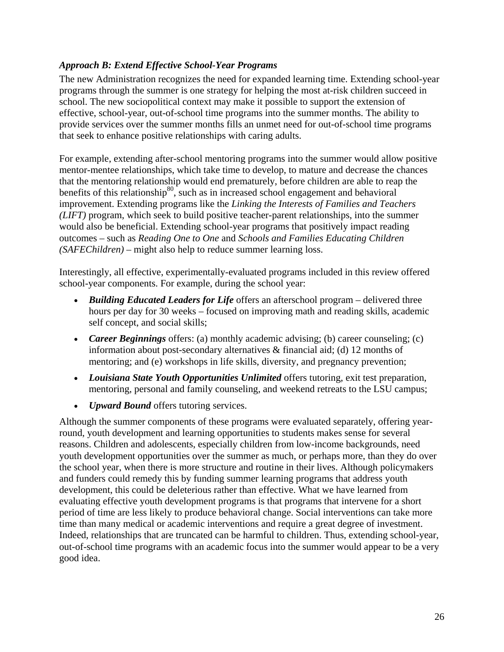#### *Approach B: Extend Effective School-Year Programs*

The new Administration recognizes the need for expanded learning time. Extending school-year programs through the summer is one strategy for helping the most at-risk children succeed in school. The new sociopolitical context may make it possible to support the extension of effective, school-year, out-of-school time programs into the summer months. The ability to provide services over the summer months fills an unmet need for out-of-school time programs that seek to enhance positive relationships with caring adults.

For example, extending after-school mentoring programs into the summer would allow positive mentor-mentee relationships, which take time to develop, to mature and decrease the chances that the mentoring relationship would end prematurely, before children are able to reap the benefits of this relationship $80$ , such as in increased school engagement and behavioral improvement. Extending programs like the *Linking the Interests of Families and Teachers (LIFT)* program, which seek to build positive teacher-parent relationships, into the summer would also be beneficial. Extending school-year programs that positively impact reading outcomes – such as *Reading One to One* and *Schools and Families Educating Children (SAFEChildren)* – might also help to reduce summer learning loss.

Interestingly, all effective, experimentally-evaluated programs included in this review offered school-year components. For example, during the school year:

- *Building Educated Leaders for Life* offers an afterschool program delivered three hours per day for 30 weeks – focused on improving math and reading skills, academic self concept, and social skills;
- *Career Beginnings* offers: (a) monthly academic advising; (b) career counseling; (c) information about post-secondary alternatives  $\&$  financial aid; (d) 12 months of mentoring; and (e) workshops in life skills, diversity, and pregnancy prevention;
- *Louisiana State Youth Opportunities Unlimited* offers tutoring, exit test preparation, mentoring, personal and family counseling, and weekend retreats to the LSU campus;
- *Upward Bound* offers tutoring services.

Although the summer components of these programs were evaluated separately, offering yearround, youth development and learning opportunities to students makes sense for several reasons. Children and adolescents, especially children from low-income backgrounds, need youth development opportunities over the summer as much, or perhaps more, than they do over the school year, when there is more structure and routine in their lives. Although policymakers and funders could remedy this by funding summer learning programs that address youth development, this could be deleterious rather than effective. What we have learned from evaluating effective youth development programs is that programs that intervene for a short period of time are less likely to produce behavioral change. Social interventions can take more time than many medical or academic interventions and require a great degree of investment. Indeed, relationships that are truncated can be harmful to children. Thus, extending school-year, out-of-school time programs with an academic focus into the summer would appear to be a very good idea.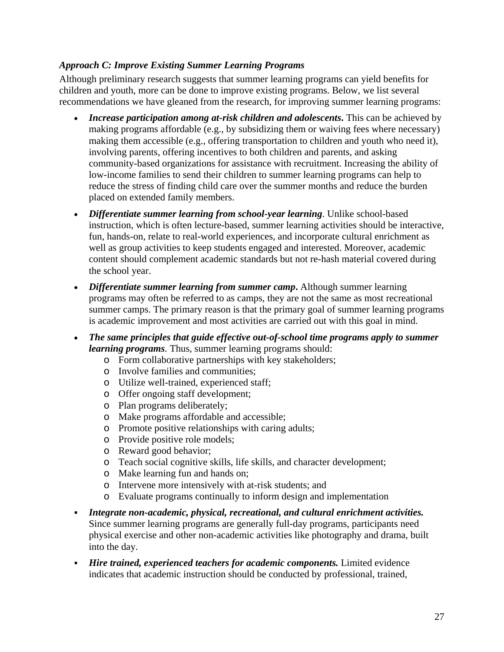#### *Approach C: Improve Existing Summer Learning Programs*

Although preliminary research suggests that summer learning programs can yield benefits for children and youth, more can be done to improve existing programs. Below, we list several recommendations we have gleaned from the research, for improving summer learning programs:

- *Increase participation among at-risk children and adolescents***.** This can be achieved by making programs affordable (e.g., by subsidizing them or waiving fees where necessary) making them accessible (e.g., offering transportation to children and youth who need it), involving parents, offering incentives to both children and parents, and asking community-based organizations for assistance with recruitment. Increasing the ability of low-income families to send their children to summer learning programs can help to reduce the stress of finding child care over the summer months and reduce the burden placed on extended family members.
- *Differentiate summer learning from school-year learning*. Unlike school-based instruction, which is often lecture-based, summer learning activities should be interactive, fun, hands-on, relate to real-world experiences, and incorporate cultural enrichment as well as group activities to keep students engaged and interested. Moreover, academic content should complement academic standards but not re-hash material covered during the school year.
- *Differentiate summer learning from summer camp*. Although summer learning programs may often be referred to as camps, they are not the same as most recreational summer camps. The primary reason is that the primary goal of summer learning programs is academic improvement and most activities are carried out with this goal in mind.
- *The same principles that guide effective out-of-school time programs apply to summer learning programs.* Thus, summer learning programs should:
	- o Form collaborative partnerships with key stakeholders;
	- o Involve families and communities;
	- o Utilize well-trained, experienced staff;
	- o Offer ongoing staff development;
	- o Plan programs deliberately;
	- o Make programs affordable and accessible;
	- o Promote positive relationships with caring adults;
	- o Provide positive role models;
	- o Reward good behavior;
	- o Teach social cognitive skills, life skills, and character development;
	- o Make learning fun and hands on;
	- o Intervene more intensively with at-risk students; and
	- o Evaluate programs continually to inform design and implementation
- *Integrate non-academic, physical, recreational, and cultural enrichment activities.* Since summer learning programs are generally full-day programs, participants need physical exercise and other non-academic activities like photography and drama, built into the day.
- *Hire trained, experienced teachers for academic components.* Limited evidence indicates that academic instruction should be conducted by professional, trained,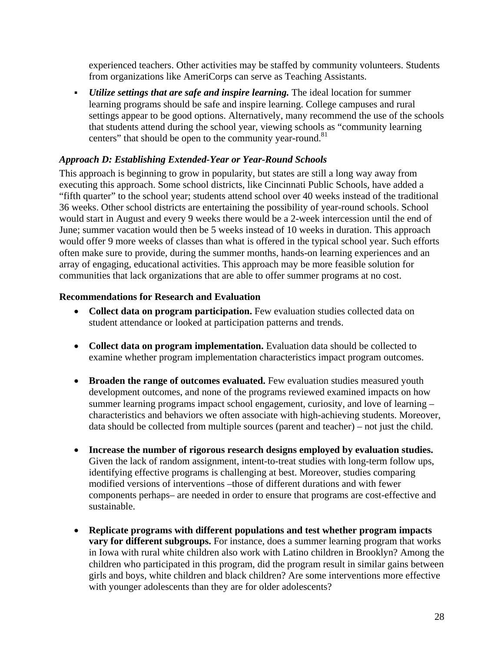experienced teachers. Other activities may be staffed by community volunteers. Students from organizations like AmeriCorps can serve as Teaching Assistants.

 *Utilize settings that are safe and inspire learning.* The ideal location for summer learning programs should be safe and inspire learning. College campuses and rural settings appear to be good options. Alternatively, many recommend the use of the schools that students attend during the school year, viewing schools as "community learning centers" that should be open to the community year-round.<sup>81</sup>

#### *Approach D: Establishing Extended-Year or Year-Round Schools*

This approach is beginning to grow in popularity, but states are still a long way away from executing this approach. Some school districts, like Cincinnati Public Schools, have added a "fifth quarter" to the school year; students attend school over 40 weeks instead of the traditional 36 weeks. Other school districts are entertaining the possibility of year-round schools. School would start in August and every 9 weeks there would be a 2-week intercession until the end of June; summer vacation would then be 5 weeks instead of 10 weeks in duration. This approach would offer 9 more weeks of classes than what is offered in the typical school year. Such efforts often make sure to provide, during the summer months, hands-on learning experiences and an array of engaging, educational activities. This approach may be more feasible solution for communities that lack organizations that are able to offer summer programs at no cost.

#### **Recommendations for Research and Evaluation**

- Collect data on program participation. Few evaluation studies collected data on student attendance or looked at participation patterns and trends.
- **Collect data on program implementation.** Evaluation data should be collected to examine whether program implementation characteristics impact program outcomes.
- **Broaden the range of outcomes evaluated.** Few evaluation studies measured youth development outcomes, and none of the programs reviewed examined impacts on how summer learning programs impact school engagement, curiosity, and love of learning – characteristics and behaviors we often associate with high-achieving students. Moreover, data should be collected from multiple sources (parent and teacher) – not just the child.
- **Increase the number of rigorous research designs employed by evaluation studies.** Given the lack of random assignment, intent-to-treat studies with long-term follow ups, identifying effective programs is challenging at best. Moreover, studies comparing modified versions of interventions –those of different durations and with fewer components perhaps– are needed in order to ensure that programs are cost-effective and sustainable.
- **Replicate programs with different populations and test whether program impacts vary for different subgroups.** For instance, does a summer learning program that works in Iowa with rural white children also work with Latino children in Brooklyn? Among the children who participated in this program, did the program result in similar gains between girls and boys, white children and black children? Are some interventions more effective with younger adolescents than they are for older adolescents?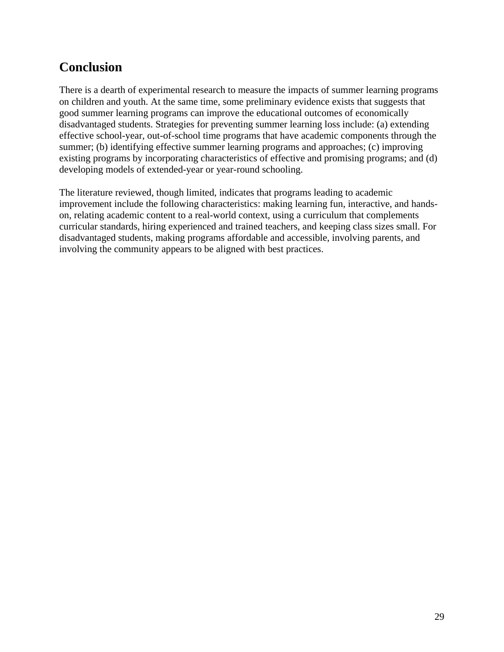# **Conclusion**

There is a dearth of experimental research to measure the impacts of summer learning programs on children and youth. At the same time, some preliminary evidence exists that suggests that good summer learning programs can improve the educational outcomes of economically disadvantaged students. Strategies for preventing summer learning loss include: (a) extending effective school-year, out-of-school time programs that have academic components through the summer; (b) identifying effective summer learning programs and approaches; (c) improving existing programs by incorporating characteristics of effective and promising programs; and (d) developing models of extended-year or year-round schooling.

The literature reviewed, though limited, indicates that programs leading to academic improvement include the following characteristics: making learning fun, interactive, and handson, relating academic content to a real-world context, using a curriculum that complements curricular standards, hiring experienced and trained teachers, and keeping class sizes small. For disadvantaged students, making programs affordable and accessible, involving parents, and involving the community appears to be aligned with best practices.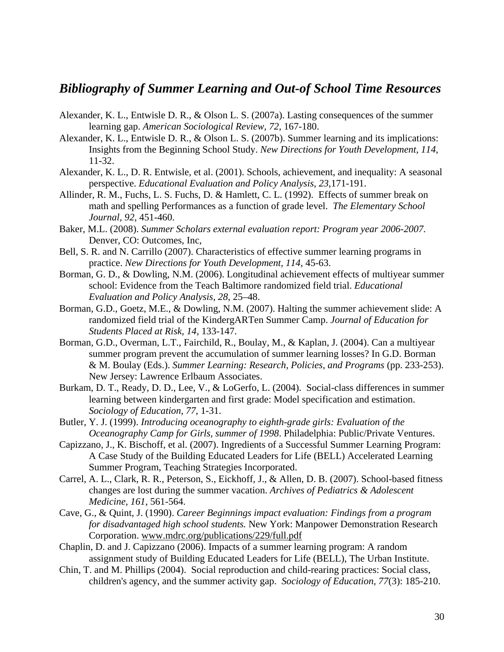## *Bibliography of Summer Learning and Out-of School Time Resources*

- Alexander, K. L., Entwisle D. R., & Olson L. S. (2007a). Lasting consequences of the summer learning gap. *American Sociological Review, 72*, 167-180.
- Alexander, K. L., Entwisle D. R., & Olson L. S. (2007b). Summer learning and its implications: Insights from the Beginning School Study. *New Directions for Youth Development, 114*, 11-32.
- Alexander, K. L., D. R. Entwisle, et al. (2001). Schools, achievement, and inequality: A seasonal perspective. *Educational Evaluation and Policy Analysis, 23*,171-191.
- Allinder, R. M., Fuchs, L. S. Fuchs, D. & Hamlett, C. L. (1992). Effects of summer break on math and spelling Performances as a function of grade level. *The Elementary School Journal, 92,* 451-460.
- Baker, M.L. (2008). *Summer Scholars external evaluation report: Program year 2006-2007.* Denver, CO: Outcomes, Inc,
- Bell, S. R. and N. Carrillo (2007). Characteristics of effective summer learning programs in practice. *New Directions for Youth Development, 114*, 45-63.
- Borman, G. D., & Dowling, N.M. (2006). Longitudinal achievement effects of multiyear summer school: Evidence from the Teach Baltimore randomized field trial. *Educational Evaluation and Policy Analysis, 28,* 25–48.
- Borman, G.D., Goetz, M.E., & Dowling, N.M. (2007). Halting the summer achievement slide: A randomized field trial of the KindergARTen Summer Camp. *Journal of Education for Students Placed at Risk, 14,* 133-147.
- Borman, G.D., Overman, L.T., Fairchild, R., Boulay, M., & Kaplan, J. (2004). Can a multiyear summer program prevent the accumulation of summer learning losses? In G.D. Borman & M. Boulay (Eds.). *Summer Learning: Research, Policies, and Programs* (pp. 233-253). New Jersey: Lawrence Erlbaum Associates.
- Burkam, D. T., Ready, D. D., Lee, V., & LoGerfo, L. (2004). Social-class differences in summer learning between kindergarten and first grade: Model specification and estimation. *Sociology of Education, 77*, 1-31.
- Butler, Y. J. (1999). *Introducing oceanography to eighth-grade girls: Evaluation of the Oceanography Camp for Girls, summer of 1998*. Philadelphia: Public/Private Ventures.
- Capizzano, J., K. Bischoff, et al. (2007). Ingredients of a Successful Summer Learning Program: A Case Study of the Building Educated Leaders for Life (BELL) Accelerated Learning Summer Program, Teaching Strategies Incorporated.
- Carrel, A. L., Clark, R. R., Peterson, S., Eickhoff, J., & Allen, D. B. (2007). School-based fitness changes are lost during the summer vacation. *Archives of Pediatrics & Adolescent Medicine, 161,* 561-564.
- Cave, G., & Quint, J. (1990). *Career Beginnings impact evaluation: Findings from a program for disadvantaged high school students.* New York: Manpower Demonstration Research Corporation. www.mdrc.org/publications/229/full.pdf
- Chaplin, D. and J. Capizzano (2006). Impacts of a summer learning program: A random assignment study of Building Educated Leaders for Life (BELL), The Urban Institute.
- Chin, T. and M. Phillips (2004). Social reproduction and child-rearing practices: Social class, children's agency, and the summer activity gap. *Sociology of Education, 77*(3): 185-210.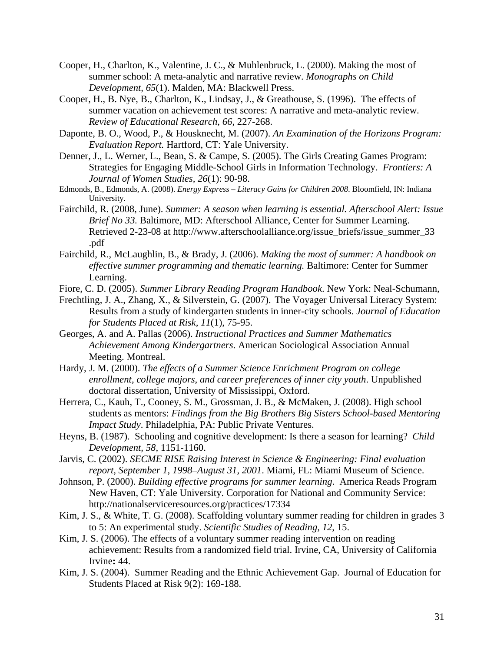- Cooper, H., Charlton, K., Valentine, J. C., & Muhlenbruck, L. (2000). Making the most of summer school: A meta-analytic and narrative review. *Monographs on Child Development, 65*(1). Malden, MA: Blackwell Press.
- Cooper, H., B. Nye, B., Charlton, K., Lindsay, J., & Greathouse, S. (1996). The effects of summer vacation on achievement test scores: A narrative and meta-analytic review. *Review of Educational Research, 66*, 227-268.
- Daponte, B. O., Wood, P., & Housknecht, M. (2007). *An Examination of the Horizons Program: Evaluation Report.* Hartford, CT: Yale University.
- Denner, J., L. Werner, L., Bean, S. & Campe, S. (2005). The Girls Creating Games Program: Strategies for Engaging Middle-School Girls in Information Technology. *Frontiers: A Journal of Women Studies, 26*(1): 90-98.
- Edmonds, B., Edmonds, A. (2008). *Energy Express Literacy Gains for Children 2008*. Bloomfield, IN: Indiana University.
- Fairchild, R. (2008, June). *Summer: A season when learning is essential. Afterschool Alert: Issue Brief No 33.* Baltimore, MD: Afterschool Alliance, Center for Summer Learning. Retrieved 2-23-08 at http://www.afterschoolalliance.org/issue\_briefs/issue\_summer\_33 .pdf
- Fairchild, R., McLaughlin, B., & Brady, J. (2006). *Making the most of summer: A handbook on effective summer programming and thematic learning.* Baltimore: Center for Summer Learning.
- Fiore, C. D. (2005). *Summer Library Reading Program Handbook*. New York: Neal-Schumann,
- Frechtling, J. A., Zhang, X., & Silverstein, G. (2007). The Voyager Universal Literacy System: Results from a study of kindergarten students in inner-city schools. *Journal of Education for Students Placed at Risk, 11*(1), 75-95.
- Georges, A. and A. Pallas (2006). *Instructional Practices and Summer Mathematics Achievement Among Kindergartners*. American Sociological Association Annual Meeting. Montreal.
- Hardy, J. M. (2000). *The effects of a Summer Science Enrichment Program on college enrollment, college majors, and career preferences of inner city youth*. Unpublished doctoral dissertation, University of Mississippi, Oxford.
- Herrera, C., Kauh, T., Cooney, S. M., Grossman, J. B., & McMaken, J. (2008). High school students as mentors: *Findings from the Big Brothers Big Sisters School-based Mentoring Impact Study*. Philadelphia, PA: Public Private Ventures.
- Heyns, B. (1987). Schooling and cognitive development: Is there a season for learning? *Child Development, 58,* 1151-1160.
- Jarvis, C. (2002). *SECME RISE Raising Interest in Science & Engineering: Final evaluation report, September 1, 1998–August 31, 2001*. Miami, FL: Miami Museum of Science.
- Johnson, P. (2000). *Building effective programs for summer learning*. America Reads Program New Haven, CT: Yale University. Corporation for National and Community Service: http://nationalserviceresources.org/practices/17334
- Kim, J. S., & White, T. G. (2008). Scaffolding voluntary summer reading for children in grades 3 to 5: An experimental study. *Scientific Studies of Reading, 12*, 15.
- Kim, J. S. (2006). The effects of a voluntary summer reading intervention on reading achievement: Results from a randomized field trial. Irvine, CA, University of California Irvine**:** 44.
- Kim, J. S. (2004). Summer Reading and the Ethnic Achievement Gap. Journal of Education for Students Placed at Risk 9(2): 169-188.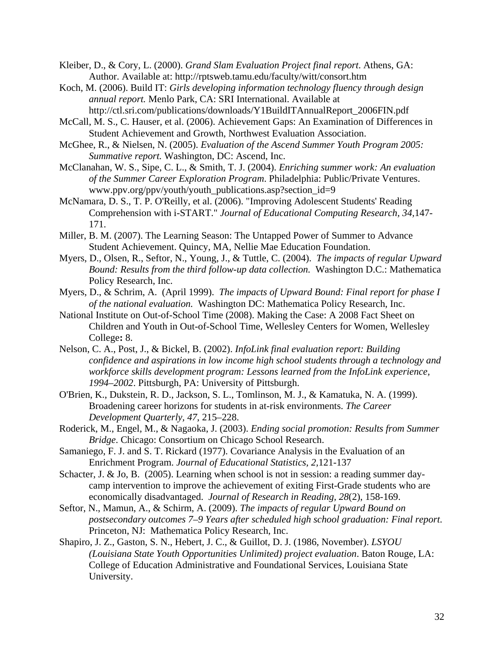Kleiber, D., & Cory, L. (2000). *Grand Slam Evaluation Project final report*. Athens, GA: Author. Available at: http://rptsweb.tamu.edu/faculty/witt/consort.htm

- Koch, M. (2006). Build IT: *Girls developing information technology fluency through design annual report.* Menlo Park, CA: SRI International. Available at http://ctl.sri.com/publications/downloads/Y1BuildITAnnualReport\_2006FIN.pdf
- McCall, M. S., C. Hauser, et al. (2006). Achievement Gaps: An Examination of Differences in Student Achievement and Growth, Northwest Evaluation Association.
- McGhee, R., & Nielsen, N. (2005). *Evaluation of the Ascend Summer Youth Program 2005: Summative report.* Washington, DC: Ascend, Inc.
- McClanahan, W. S., Sipe, C. L., & Smith, T. J. (2004). *Enriching summer work: An evaluation of the Summer Career Exploration Program*. Philadelphia: Public/Private Ventures. www.ppv.org/ppv/youth/youth\_publications.asp?section\_id=9
- McNamara, D. S., T. P. O'Reilly, et al. (2006). "Improving Adolescent Students' Reading Comprehension with i-START." *Journal of Educational Computing Research, 34,*147- 171.
- Miller, B. M. (2007). The Learning Season: The Untapped Power of Summer to Advance Student Achievement. Quincy, MA, Nellie Mae Education Foundation.
- Myers, D., Olsen, R., Seftor, N., Young, J., & Tuttle, C. (2004). *The impacts of regular Upward Bound: Results from the third follow-up data collection.* Washington D.C.: Mathematica Policy Research, Inc.
- Myers, D., & Schrim, A. (April 1999). *The impacts of Upward Bound: Final report for phase I of the national evaluation.* Washington DC: Mathematica Policy Research, Inc.
- National Institute on Out-of-School Time (2008). Making the Case: A 2008 Fact Sheet on Children and Youth in Out-of-School Time, Wellesley Centers for Women, Wellesley College**:** 8.
- Nelson, C. A., Post, J., & Bickel, B. (2002). *InfoLink final evaluation report: Building confidence and aspirations in low income high school students through a technology and workforce skills development program: Lessons learned from the InfoLink experience, 1994–2002*. Pittsburgh, PA: University of Pittsburgh.
- O'Brien, K., Dukstein, R. D., Jackson, S. L., Tomlinson, M. J., & Kamatuka, N. A. (1999). Broadening career horizons for students in at-risk environments. *The Career Development Quarterly, 47*, 215–228.
- Roderick, M., Engel, M., & Nagaoka, J. (2003). *Ending social promotion: Results from Summer Bridge*. Chicago: Consortium on Chicago School Research.
- Samaniego, F. J. and S. T. Rickard (1977). Covariance Analysis in the Evaluation of an Enrichment Program. *Journal of Educational Statistics, 2,*121-137
- Schacter, J. & Jo, B. (2005). Learning when school is not in session: a reading summer daycamp intervention to improve the achievement of exiting First-Grade students who are economically disadvantaged. *Journal of Research in Reading, 28*(2), 158-169.
- Seftor, N., Mamun, A., & Schirm, A. (2009). *The impacts of regular Upward Bound on postsecondary outcomes 7–9 Years after scheduled high school graduation: Final report*. Princeton, NJ: Mathematica Policy Research, Inc.
- Shapiro, J. Z., Gaston, S. N., Hebert, J. C., & Guillot, D. J. (1986, November). *LSYOU (Louisiana State Youth Opportunities Unlimited) project evaluation*. Baton Rouge, LA: College of Education Administrative and Foundational Services, Louisiana State University.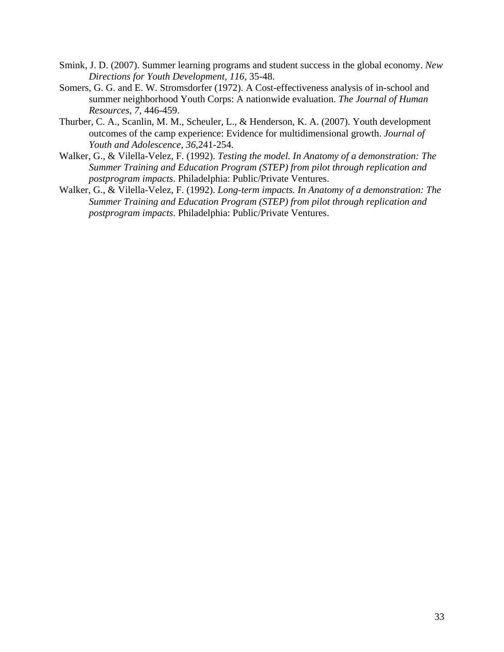- Smink, J. D. (2007). Summer learning programs and student success in the global economy. *New Directions for Youth Development, 116,* 35-48.
- Somers, G. G. and E. W. Stromsdorfer (1972). A Cost-effectiveness analysis of in-school and summer neighborhood Youth Corps: A nationwide evaluation. *The Journal of Human Resources, 7,* 446-459.
- Thurber, C. A., Scanlin, M. M., Scheuler, L., & Henderson, K. A. (2007). Youth development outcomes of the camp experience: Evidence for multidimensional growth. *Journal of Youth and Adolescence, 36*,241-254.
- Walker, G., & Vilella-Velez, F. (1992). *Testing the model. In Anatomy of a demonstration: The Summer Training and Education Program (STEP) from pilot through replication and postprogram impacts*. Philadelphia: Public/Private Ventures.
- Walker, G., & Vilella-Velez, F. (1992). *Long-term impacts. In Anatomy of a demonstration: The Summer Training and Education Program (STEP) from pilot through replication and postprogram impacts*. Philadelphia: Public/Private Ventures.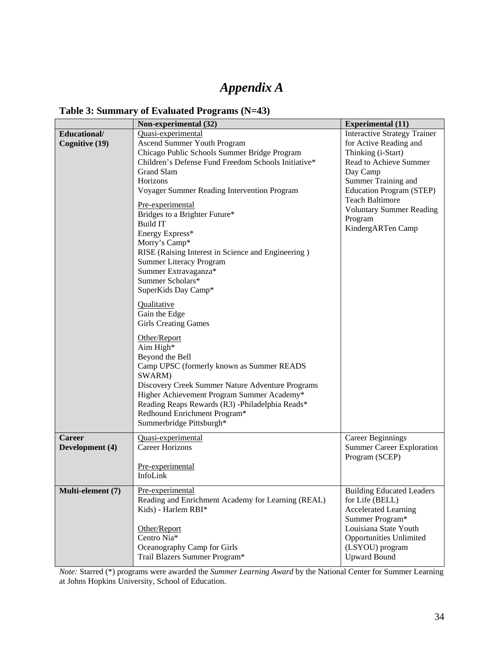# *Appendix A*

#### **Table 3: Summary of Evaluated Programs (N=43)**

|                   | Non-experimental (32)                               | <b>Experimental (11)</b>            |
|-------------------|-----------------------------------------------------|-------------------------------------|
| Educational/      | Quasi-experimental                                  | <b>Interactive Strategy Trainer</b> |
| Cognitive (19)    | Ascend Summer Youth Program                         | for Active Reading and              |
|                   | Chicago Public Schools Summer Bridge Program        | Thinking (i-Start)                  |
|                   | Children's Defense Fund Freedom Schools Initiative* | Read to Achieve Summer              |
|                   | <b>Grand Slam</b>                                   | Day Camp                            |
|                   | Horizons                                            | Summer Training and                 |
|                   | Voyager Summer Reading Intervention Program         | Education Program (STEP)            |
|                   |                                                     | <b>Teach Baltimore</b>              |
|                   | Pre-experimental                                    | <b>Voluntary Summer Reading</b>     |
|                   | Bridges to a Brighter Future*                       | Program                             |
|                   | <b>Build IT</b>                                     | KindergARTen Camp                   |
|                   | Energy Express*                                     |                                     |
|                   | Morry's Camp*                                       |                                     |
|                   | RISE (Raising Interest in Science and Engineering)  |                                     |
|                   | <b>Summer Literacy Program</b>                      |                                     |
|                   | Summer Extravaganza*                                |                                     |
|                   | Summer Scholars*                                    |                                     |
|                   | SuperKids Day Camp*                                 |                                     |
|                   | Qualitative                                         |                                     |
|                   | Gain the Edge                                       |                                     |
|                   | <b>Girls Creating Games</b>                         |                                     |
|                   |                                                     |                                     |
|                   | Other/Report                                        |                                     |
|                   | Aim High*                                           |                                     |
|                   | Beyond the Bell                                     |                                     |
|                   | Camp UPSC (formerly known as Summer READS           |                                     |
|                   | SWARM)                                              |                                     |
|                   | Discovery Creek Summer Nature Adventure Programs    |                                     |
|                   | Higher Achievement Program Summer Academy*          |                                     |
|                   | Reading Reaps Rewards (R3) -Philadelphia Reads*     |                                     |
|                   | Redhound Enrichment Program*                        |                                     |
|                   | Summerbridge Pittsburgh*                            |                                     |
| <b>Career</b>     | Quasi-experimental                                  | <b>Career Beginnings</b>            |
| Development (4)   | <b>Career Horizons</b>                              |                                     |
|                   |                                                     | <b>Summer Career Exploration</b>    |
|                   |                                                     | Program (SCEP)                      |
|                   | Pre-experimental<br>InfoLink                        |                                     |
|                   |                                                     |                                     |
| Multi-element (7) | Pre-experimental                                    | <b>Building Educated Leaders</b>    |
|                   | Reading and Enrichment Academy for Learning (REAL)  | for Life (BELL)                     |
|                   | Kids) - Harlem RBI*                                 | <b>Accelerated Learning</b>         |
|                   |                                                     | Summer Program*                     |
|                   | Other/Report                                        | Louisiana State Youth               |
|                   | Centro Nia*                                         | <b>Opportunities Unlimited</b>      |
|                   | Oceanography Camp for Girls                         | (LSYOU) program                     |
|                   | Trail Blazers Summer Program*                       | <b>Upward Bound</b>                 |
|                   |                                                     |                                     |

*Note:* Starred (\*) programs were awarded the *Summer Learning Award* by the National Center for Summer Learning at Johns Hopkins University, School of Education.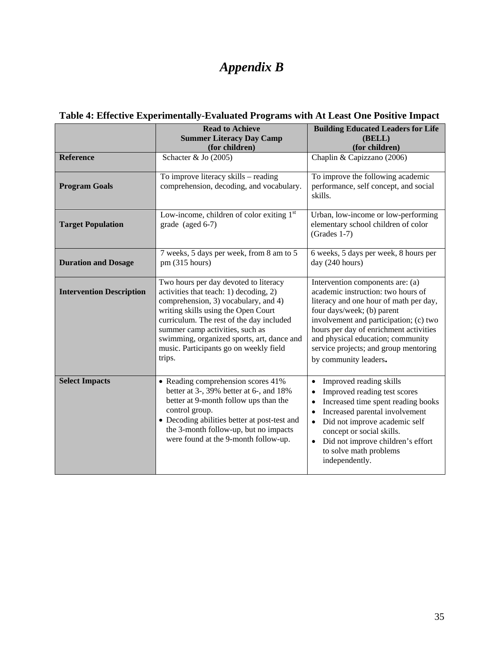# *Appendix B*

|                                 | <b>Read to Achieve</b><br><b>Summer Literacy Day Camp</b><br>(for children)                                                                                                                                                                                                                                                                     | <b>Building Educated Leaders for Life</b><br>(BELL)<br>(for children)                                                                                                                                                                                                                                                                     |
|---------------------------------|-------------------------------------------------------------------------------------------------------------------------------------------------------------------------------------------------------------------------------------------------------------------------------------------------------------------------------------------------|-------------------------------------------------------------------------------------------------------------------------------------------------------------------------------------------------------------------------------------------------------------------------------------------------------------------------------------------|
| <b>Reference</b>                | Schacter & Jo (2005)                                                                                                                                                                                                                                                                                                                            | Chaplin & Capizzano (2006)                                                                                                                                                                                                                                                                                                                |
| <b>Program Goals</b>            | To improve literacy skills - reading<br>comprehension, decoding, and vocabulary.                                                                                                                                                                                                                                                                | To improve the following academic<br>performance, self concept, and social<br>skills.                                                                                                                                                                                                                                                     |
| <b>Target Population</b>        | Low-income, children of color exiting 1 <sup>st</sup><br>grade (aged 6-7)                                                                                                                                                                                                                                                                       | Urban, low-income or low-performing<br>elementary school children of color<br>$(Grades 1-7)$                                                                                                                                                                                                                                              |
| <b>Duration and Dosage</b>      | 7 weeks, 5 days per week, from 8 am to 5<br>pm (315 hours)                                                                                                                                                                                                                                                                                      | 6 weeks, 5 days per week, 8 hours per<br>day (240 hours)                                                                                                                                                                                                                                                                                  |
| <b>Intervention Description</b> | Two hours per day devoted to literacy<br>activities that teach: 1) decoding, 2)<br>comprehension, 3) vocabulary, and 4)<br>writing skills using the Open Court<br>curriculum. The rest of the day included<br>summer camp activities, such as<br>swimming, organized sports, art, dance and<br>music. Participants go on weekly field<br>trips. | Intervention components are: (a)<br>academic instruction: two hours of<br>literacy and one hour of math per day,<br>four days/week; (b) parent<br>involvement and participation; (c) two<br>hours per day of enrichment activities<br>and physical education; community<br>service projects; and group mentoring<br>by community leaders. |
| <b>Select Impacts</b>           | • Reading comprehension scores 41%<br>better at 3-, 39% better at 6-, and 18%<br>better at 9-month follow ups than the<br>control group.<br>• Decoding abilities better at post-test and<br>the 3-month follow-up, but no impacts<br>were found at the 9-month follow-up.                                                                       | Improved reading skills<br>Improved reading test scores<br>Increased time spent reading books<br>$\bullet$<br>Increased parental involvement<br>$\bullet$<br>Did not improve academic self<br>$\bullet$<br>concept or social skills.<br>Did not improve children's effort<br>$\bullet$<br>to solve math problems<br>independently.        |

# **Table 4: Effective Experimentally-Evaluated Programs with At Least One Positive Impact**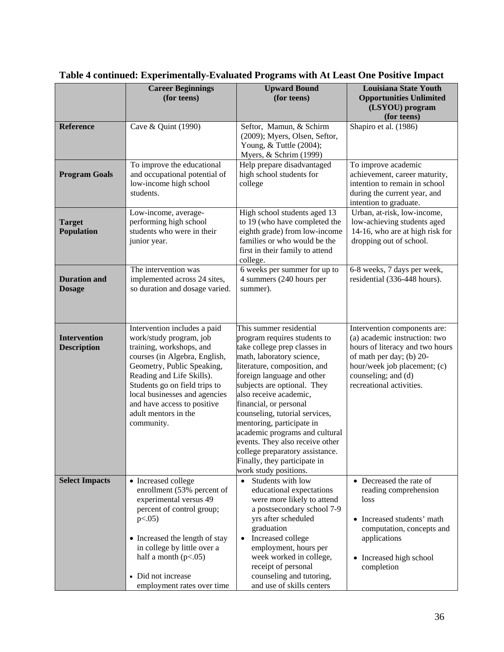|                                           | <b>Career Beginnings</b><br>(for teens)                                                                                                                                                                                                                                                                                | <b>Upward Bound</b><br>(for teens)                                                                                                                                                                                                                                                                                                                                                                                                                                                                    | <b>Louisiana State Youth</b><br><b>Opportunities Unlimited</b><br>(LSYOU) program<br>(for teens)                                                                                                                |
|-------------------------------------------|------------------------------------------------------------------------------------------------------------------------------------------------------------------------------------------------------------------------------------------------------------------------------------------------------------------------|-------------------------------------------------------------------------------------------------------------------------------------------------------------------------------------------------------------------------------------------------------------------------------------------------------------------------------------------------------------------------------------------------------------------------------------------------------------------------------------------------------|-----------------------------------------------------------------------------------------------------------------------------------------------------------------------------------------------------------------|
| <b>Reference</b>                          | Cave & Quint (1990)                                                                                                                                                                                                                                                                                                    | Seftor, Mamun, & Schirm<br>(2009); Myers, Olsen, Seftor,<br>Young, & Tuttle (2004);<br>Myers, & Schrim (1999)                                                                                                                                                                                                                                                                                                                                                                                         | Shapiro et al. (1986)                                                                                                                                                                                           |
| <b>Program Goals</b>                      | To improve the educational<br>and occupational potential of<br>low-income high school<br>students.                                                                                                                                                                                                                     | Help prepare disadvantaged<br>high school students for<br>college                                                                                                                                                                                                                                                                                                                                                                                                                                     | To improve academic<br>achievement, career maturity,<br>intention to remain in school<br>during the current year, and<br>intention to graduate.                                                                 |
| <b>Target</b><br><b>Population</b>        | Low-income, average-<br>performing high school<br>students who were in their<br>junior year.                                                                                                                                                                                                                           | High school students aged 13<br>to 19 (who have completed the<br>eighth grade) from low-income<br>families or who would be the<br>first in their family to attend<br>college.                                                                                                                                                                                                                                                                                                                         | Urban, at-risk, low-income,<br>low-achieving students aged<br>14-16, who are at high risk for<br>dropping out of school.                                                                                        |
| <b>Duration and</b><br><b>Dosage</b>      | The intervention was<br>implemented across 24 sites,<br>so duration and dosage varied.                                                                                                                                                                                                                                 | 6 weeks per summer for up to<br>4 summers (240 hours per<br>summer).                                                                                                                                                                                                                                                                                                                                                                                                                                  | 6-8 weeks, 7 days per week,<br>residential (336-448 hours).                                                                                                                                                     |
| <b>Intervention</b><br><b>Description</b> | Intervention includes a paid<br>work/study program, job<br>training, workshops, and<br>courses (in Algebra, English,<br>Geometry, Public Speaking,<br>Reading and Life Skills).<br>Students go on field trips to<br>local businesses and agencies<br>and have access to positive<br>adult mentors in the<br>community. | This summer residential<br>program requires students to<br>take college prep classes in<br>math, laboratory science,<br>literature, composition, and<br>foreign language and other<br>subjects are optional. They<br>also receive academic,<br>financial, or personal<br>counseling, tutorial services,<br>mentoring, participate in<br>academic programs and cultural<br>events. They also receive other<br>college preparatory assistance.<br>Finally, they participate in<br>work study positions. | Intervention components are:<br>(a) academic instruction: two<br>hours of literacy and two hours<br>of math per day; (b) 20-<br>hour/week job placement; (c)<br>counseling; and (d)<br>recreational activities. |
| <b>Select Impacts</b>                     | • Increased college<br>enrollment (53% percent of<br>experimental versus 49<br>percent of control group;<br>p<0.05<br>• Increased the length of stay<br>in college by little over a<br>half a month $(p<.05)$<br>• Did not increase<br>employment rates over time                                                      | Students with low<br>$\bullet$<br>educational expectations<br>were more likely to attend<br>a postsecondary school 7-9<br>yrs after scheduled<br>graduation<br>Increased college<br>$\bullet$<br>employment, hours per<br>week worked in college,<br>receipt of personal<br>counseling and tutoring,<br>and use of skills centers                                                                                                                                                                     | • Decreased the rate of<br>reading comprehension<br>loss<br>• Increased students' math<br>computation, concepts and<br>applications<br>• Increased high school<br>completion                                    |

# **Table 4 continued: Experimentally-Evaluated Programs with At Least One Positive Impact**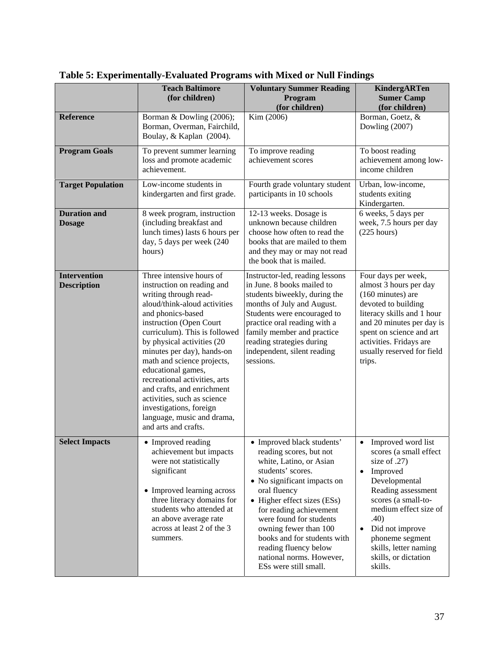|                                           | <b>Teach Baltimore</b><br>(for children)                                                                                                                                                                                                                                                                                                                                                                                                                                                        | <b>Voluntary Summer Reading</b><br>Program<br>(for children)                                                                                                                                                                                                                                                                                                                    | <b>KindergARTen</b><br><b>Sumer Camp</b><br>(for children)                                                                                                                                                                                                                                                          |
|-------------------------------------------|-------------------------------------------------------------------------------------------------------------------------------------------------------------------------------------------------------------------------------------------------------------------------------------------------------------------------------------------------------------------------------------------------------------------------------------------------------------------------------------------------|---------------------------------------------------------------------------------------------------------------------------------------------------------------------------------------------------------------------------------------------------------------------------------------------------------------------------------------------------------------------------------|---------------------------------------------------------------------------------------------------------------------------------------------------------------------------------------------------------------------------------------------------------------------------------------------------------------------|
| <b>Reference</b>                          | Borman & Dowling (2006);<br>Borman, Overman, Fairchild,<br>Boulay, & Kaplan (2004).                                                                                                                                                                                                                                                                                                                                                                                                             | Kim (2006)                                                                                                                                                                                                                                                                                                                                                                      | Borman, Goetz, &<br>Dowling (2007)                                                                                                                                                                                                                                                                                  |
| <b>Program Goals</b>                      | To prevent summer learning<br>loss and promote academic<br>achievement.                                                                                                                                                                                                                                                                                                                                                                                                                         | To improve reading<br>achievement scores                                                                                                                                                                                                                                                                                                                                        | To boost reading<br>achievement among low-<br>income children                                                                                                                                                                                                                                                       |
| <b>Target Population</b>                  | Low-income students in<br>kindergarten and first grade.                                                                                                                                                                                                                                                                                                                                                                                                                                         | Fourth grade voluntary student<br>participants in 10 schools                                                                                                                                                                                                                                                                                                                    | Urban, low-income,<br>students exiting<br>Kindergarten.                                                                                                                                                                                                                                                             |
| <b>Duration and</b><br><b>Dosage</b>      | 8 week program, instruction<br>(including breakfast and<br>lunch times) lasts 6 hours per<br>day, 5 days per week (240<br>hours)                                                                                                                                                                                                                                                                                                                                                                | 12-13 weeks. Dosage is<br>unknown because children<br>choose how often to read the<br>books that are mailed to them<br>and they may or may not read<br>the book that is mailed.                                                                                                                                                                                                 | 6 weeks, 5 days per<br>week, 7.5 hours per day<br>$(225$ hours)                                                                                                                                                                                                                                                     |
| <b>Intervention</b><br><b>Description</b> | Three intensive hours of<br>instruction on reading and<br>writing through read-<br>aloud/think-aloud activities<br>and phonics-based<br>instruction (Open Court<br>curriculum). This is followed<br>by physical activities (20<br>minutes per day), hands-on<br>math and science projects,<br>educational games,<br>recreational activities, arts<br>and crafts, and enrichment<br>activities, such as science<br>investigations, foreign<br>language, music and drama,<br>and arts and crafts. | Instructor-led, reading lessons<br>in June. 8 books mailed to<br>students biweekly, during the<br>months of July and August.<br>Students were encouraged to<br>practice oral reading with a<br>family member and practice<br>reading strategies during<br>independent, silent reading<br>sessions.                                                                              | Four days per week,<br>almost 3 hours per day<br>(160 minutes) are<br>devoted to building<br>literacy skills and 1 hour<br>and 20 minutes per day is<br>spent on science and art<br>activities. Fridays are<br>usually reserved for field<br>trips.                                                                 |
| <b>Select Impacts</b>                     | • Improved reading<br>achievement but impacts<br>were not statistically<br>significant<br>• Improved learning across<br>three literacy domains for<br>students who attended at<br>an above average rate<br>across at least 2 of the 3<br>summers.                                                                                                                                                                                                                                               | • Improved black students'<br>reading scores, but not<br>white, Latino, or Asian<br>students' scores.<br>• No significant impacts on<br>oral fluency<br>• Higher effect sizes (ESs)<br>for reading achievement<br>were found for students<br>owning fewer than 100<br>books and for students with<br>reading fluency below<br>national norms. However,<br>ESs were still small. | Improved word list<br>$\bullet$<br>scores (a small effect<br>size of $.27$ )<br>Improved<br>$\bullet$<br>Developmental<br>Reading assessment<br>scores (a small-to-<br>medium effect size of<br>.40)<br>Did not improve<br>$\bullet$<br>phoneme segment<br>skills, letter naming<br>skills, or dictation<br>skills. |

**Table 5: Experimentally-Evaluated Programs with Mixed or Null Findings**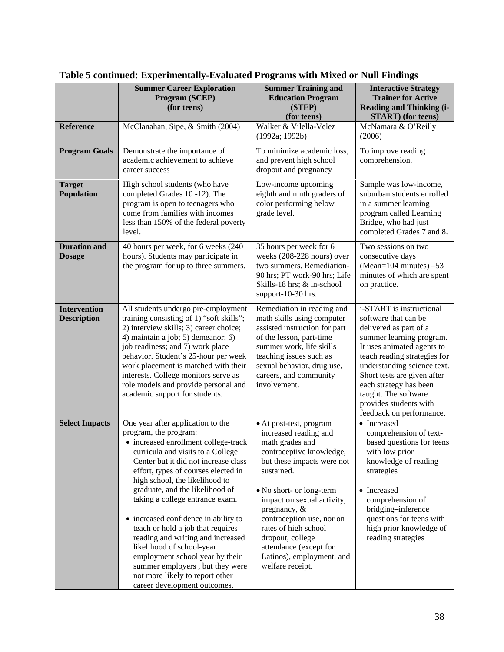|                                           | <b>Summer Career Exploration</b><br>Program (SCEP)<br>(for teens)                                                                                                                                                                                                                                                                                                                                                                                                                                                                                                                                                      | <b>Summer Training and</b><br><b>Education Program</b><br>(STEP)<br>(for teens)                                                                                                                                                                                                                                                                                              | <b>Interactive Strategy</b><br><b>Trainer for Active</b><br><b>Reading and Thinking (i-</b><br><b>START</b> ) (for teens)                                                                                                                                                                                                                  |
|-------------------------------------------|------------------------------------------------------------------------------------------------------------------------------------------------------------------------------------------------------------------------------------------------------------------------------------------------------------------------------------------------------------------------------------------------------------------------------------------------------------------------------------------------------------------------------------------------------------------------------------------------------------------------|------------------------------------------------------------------------------------------------------------------------------------------------------------------------------------------------------------------------------------------------------------------------------------------------------------------------------------------------------------------------------|--------------------------------------------------------------------------------------------------------------------------------------------------------------------------------------------------------------------------------------------------------------------------------------------------------------------------------------------|
| <b>Reference</b>                          | McClanahan, Sipe, & Smith (2004)                                                                                                                                                                                                                                                                                                                                                                                                                                                                                                                                                                                       | Walker & Vilella-Velez<br>(1992a; 1992b)                                                                                                                                                                                                                                                                                                                                     | McNamara & O'Reilly<br>(2006)                                                                                                                                                                                                                                                                                                              |
| <b>Program Goals</b>                      | Demonstrate the importance of<br>academic achievement to achieve<br>career success                                                                                                                                                                                                                                                                                                                                                                                                                                                                                                                                     | To minimize academic loss,<br>and prevent high school<br>dropout and pregnancy                                                                                                                                                                                                                                                                                               | To improve reading<br>comprehension.                                                                                                                                                                                                                                                                                                       |
| <b>Target</b><br><b>Population</b>        | High school students (who have<br>completed Grades 10-12). The<br>program is open to teenagers who<br>come from families with incomes<br>less than 150% of the federal poverty<br>level.                                                                                                                                                                                                                                                                                                                                                                                                                               | Low-income upcoming<br>eighth and ninth graders of<br>color performing below<br>grade level.                                                                                                                                                                                                                                                                                 | Sample was low-income,<br>suburban students enrolled<br>in a summer learning<br>program called Learning<br>Bridge, who had just<br>completed Grades 7 and 8.                                                                                                                                                                               |
| <b>Duration and</b><br><b>Dosage</b>      | 40 hours per week, for 6 weeks (240<br>hours). Students may participate in<br>the program for up to three summers.                                                                                                                                                                                                                                                                                                                                                                                                                                                                                                     | 35 hours per week for 6<br>weeks (208-228 hours) over<br>two summers. Remediation-<br>90 hrs; PT work-90 hrs; Life<br>Skills-18 hrs; & in-school<br>support-10-30 hrs.                                                                                                                                                                                                       | Two sessions on two<br>consecutive days<br>(Mean= $104$ minutes) $-53$<br>minutes of which are spent<br>on practice.                                                                                                                                                                                                                       |
| <b>Intervention</b><br><b>Description</b> | All students undergo pre-employment<br>training consisting of 1) "soft skills";<br>2) interview skills; 3) career choice;<br>4) maintain a job; 5) demeanor; 6)<br>job readiness; and 7) work place<br>behavior. Student's 25-hour per week<br>work placement is matched with their<br>interests. College monitors serve as<br>role models and provide personal and<br>academic support for students.                                                                                                                                                                                                                  | Remediation in reading and<br>math skills using computer<br>assisted instruction for part<br>of the lesson, part-time<br>summer work, life skills<br>teaching issues such as<br>sexual behavior, drug use,<br>careers, and community<br>involvement.                                                                                                                         | i-START is instructional<br>software that can be<br>delivered as part of a<br>summer learning program.<br>It uses animated agents to<br>teach reading strategies for<br>understanding science text.<br>Short tests are given after<br>each strategy has been<br>taught. The software<br>provides students with<br>feedback on performance. |
| <b>Select Impacts</b>                     | One year after application to the<br>program, the program:<br>• increased enrollment college-track<br>curricula and visits to a College<br>Center but it did not increase class<br>effort, types of courses elected in<br>high school, the likelihood to<br>graduate, and the likelihood of<br>taking a college entrance exam.<br>• increased confidence in ability to<br>teach or hold a job that requires<br>reading and writing and increased<br>likelihood of school-year<br>employment school year by their<br>summer employers, but they were<br>not more likely to report other<br>career development outcomes. | • At post-test, program<br>increased reading and<br>math grades and<br>contraceptive knowledge,<br>but these impacts were not<br>sustained.<br>• No short- or long-term<br>impact on sexual activity,<br>pregnancy, $\&$<br>contraception use, nor on<br>rates of high school<br>dropout, college<br>attendance (except for<br>Latinos), employment, and<br>welfare receipt. | • Increased<br>comprehension of text-<br>based questions for teens<br>with low prior<br>knowledge of reading<br>strategies<br>• Increased<br>comprehension of<br>bridging-inference<br>questions for teens with<br>high prior knowledge of<br>reading strategies                                                                           |

# **Table 5 continued: Experimentally-Evaluated Programs with Mixed or Null Findings**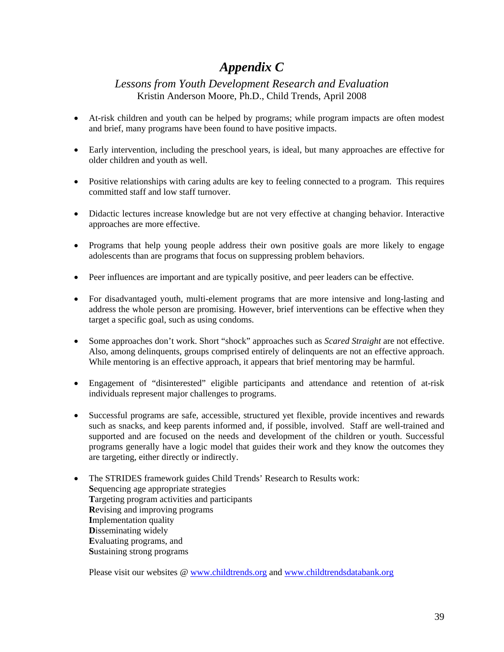# *Appendix C*

#### *Lessons from Youth Development Research and Evaluation* Kristin Anderson Moore, Ph.D., Child Trends, April 2008

- At-risk children and youth can be helped by programs; while program impacts are often modest and brief, many programs have been found to have positive impacts.
- Early intervention, including the preschool years, is ideal, but many approaches are effective for older children and youth as well.
- Positive relationships with caring adults are key to feeling connected to a program. This requires committed staff and low staff turnover.
- Didactic lectures increase knowledge but are not very effective at changing behavior. Interactive approaches are more effective.
- Programs that help young people address their own positive goals are more likely to engage adolescents than are programs that focus on suppressing problem behaviors.
- Peer influences are important and are typically positive, and peer leaders can be effective.
- For disadvantaged youth, multi-element programs that are more intensive and long-lasting and address the whole person are promising. However, brief interventions can be effective when they target a specific goal, such as using condoms.
- Some approaches don't work. Short "shock" approaches such as *Scared Straight* are not effective. Also, among delinquents, groups comprised entirely of delinquents are not an effective approach. While mentoring is an effective approach, it appears that brief mentoring may be harmful.
- Engagement of "disinterested" eligible participants and attendance and retention of at-risk individuals represent major challenges to programs.
- Successful programs are safe, accessible, structured yet flexible, provide incentives and rewards such as snacks, and keep parents informed and, if possible, involved. Staff are well-trained and supported and are focused on the needs and development of the children or youth. Successful programs generally have a logic model that guides their work and they know the outcomes they are targeting, either directly or indirectly.
- The STRIDES framework guides Child Trends' Research to Results work: **S**equencing age appropriate strategies **T**argeting program activities and participants **R**evising and improving programs **I**mplementation quality **D**isseminating widely **E**valuating programs, and **S**ustaining strong programs

Please visit our websites @ www.childtrends.org and www.childtrendsdatabank.org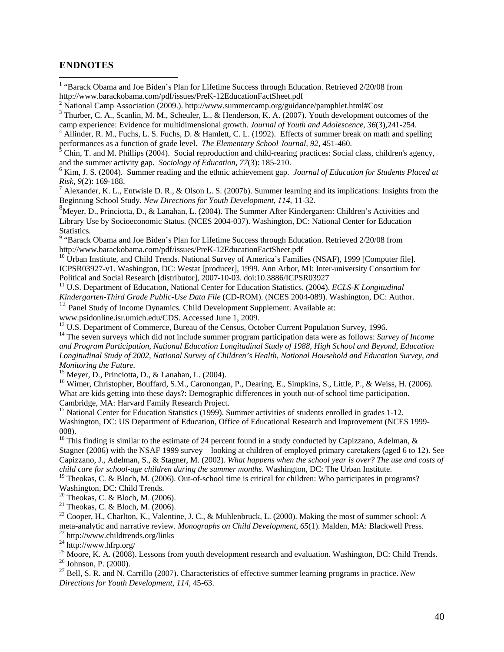#### **ENDNOTES**

 $\overline{a}$ 

- <sup>1</sup> "Barack Obama and Joe Biden's Plan for Lifetime Success through Education. Retrieved 2/20/08 from http://www.barackobama.com/pdf/issues/PreK-12EducationFactSheet.pdf 2
- <sup>2</sup> National Camp Association (2009.). http://www.summercamp.org/guidance/pamphlet.html#Cost
- <sup>3</sup> Thurber, C. A., Scanlin, M. M., Scheuler, L., & Henderson, K. A. (2007). Youth development outcomes of the camp experience: Evidence for multidimensional growth. *Journal of Youth and Adolescence, 36*(3),241-254. 4

<sup>4</sup> Allinder, R. M., Fuchs, L. S. Fuchs, D. & Hamlett, C. L. (1992). Effects of summer break on math and spelling performances as a function of grade level. *The Elementary School Journal*, 92, 451-460.

 Chin, T. and M. Phillips (2004). Social reproduction and child-rearing practices: Social class, children's agency, and the summer activity gap. *Sociology of Education*, 77(3): 185-210.

 Kim, J. S. (2004). Summer reading and the ethnic achievement gap. *Journal of Education for Students Placed at Risk, 9*(2): 169-188. 7

<sup>7</sup> Alexander, K. L., Entwisle D. R., & Olson L. S. (2007b). Summer learning and its implications: Insights from the Beginning School Study. *New Directions for Youth Development, 114*, 11-32.

<sup>8</sup>Meyer, D., Princiotta, D., & Lanahan, L. (2004). The Summer After Kindergarten: Children's Activities and Library Use by Socioeconomic Status. (NCES 2004-037). Washington, DC: National Center for Education

Statistics.<br><sup>9</sup> "Barack Obama and Joe Biden's Plan for Lifetime Success through Education. Retrieved 2/20/08 from<br>http://www.barackobama.com/pdf/issues/PreK-12EducationFactSheet.pdf

 $h^{\text{10}}$  Urban Institute, and Child Trends. National Survey of America's Families (NSAF), 1999 [Computer file]. ICPSR03927-v1. Washington, DC: Westat [producer], 1999. Ann Arbor, MI: Inter-university Consortium for Political and Social Research [distributor], 2007-10-03. doi:10.3886/ICPSR03927

<sup>11</sup> U.S. Department of Education, National Center for Education Statistics. (2004). *ECLS-K Longitudinal Kindergarten-Third Grade Public-Use Data File* (CD-ROM). (NCES 2004-089). Washington, DC: Author. <sup>12</sup> Panel Study of Income Dynamics. Child Development Supplement. Available at:

www.psidonline.isr.umich.edu/CDS. Accessed June 1, 2009.<br><sup>13</sup> U.S. Department of Commerce, Bureau of the Census, October Current Population Survey, 1996.

<sup>14</sup> The seven surveys which did not include summer program participation data were as follows: *Survey of Income and Program Participation, National Education Longitudinal Study of 1988, High School and Beyond, Education Longitudinal Study of 2002, National Survey of Children's Health, National Household and Education Survey, and Monitoring the Future.* 

 $15$  Meyer, D., Princiotta, D., & Lanahan, L. (2004).

<sup>16</sup> Wimer, Christopher, Bouffard, S.M., Caronongan, P., Dearing, E., Simpkins, S., Little, P., & Weiss, H. (2006). What are kids getting into these days?: Demographic differences in youth out-of school time participation. Cambridge, MA: Harvard Family Research Project.

<sup>17</sup> National Center for Education Statistics (1999). Summer activities of students enrolled in grades 1-12. Washington, DC: US Department of Education, Office of Educational Research and Improvement (NCES 1999- 008).

<sup>18</sup> This finding is similar to the estimate of 24 percent found in a study conducted by Capizzano, Adelman, & Stagner (2006) with the NSAF 1999 survey – looking at children of employed primary caretakers (aged 6 to 12). See Capizzano, J., Adelman, S., & Stagner, M. (2002). *What happens when the school year is over? The use and costs of* 

<sup>19</sup> Theokas, C. & Bloch, M. (2006). Out-of-school time is critical for children: Who participates in programs? Washington, DC: Child Trends.

20 Theokas, C. & Bloch, M. (2006).

<sup>21</sup> Theokas, C. & Bloch, M. (2006).

 $^{22}$  Cooper, H., Charlton, K., Valentine, J. C., & Muhlenbruck, L. (2000). Making the most of summer school: A meta-analytic and narrative review. *Monographs on Child Development, 65*(1). Malden, MA: Blackwell Press. 23 http://www.childtrends.org/links

 $^{24}$  http://www.hfrp.org/

<sup>25</sup> Moore, K. A. (2008). Lessons from youth development research and evaluation. Washington, DC: Child Trends.

 $26$  Johnson, P. (2000).

27 Bell, S. R. and N. Carrillo (2007). Characteristics of effective summer learning programs in practice. *New Directions for Youth Development, 114*, 45-63.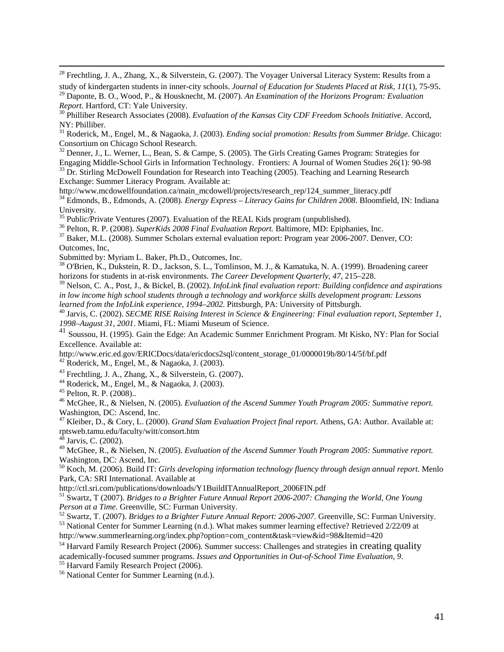<sup>28</sup> Frechtling, J. A., Zhang, X., & Silverstein, G. (2007). The Voyager Universal Literacy System: Results from a

study of kindergarten students in inner-city schools. Journal of Education for Students Placed at Risk, 11(1), 75-95.<br><sup>29</sup> Daponte, B. O., Wood, P., & Housknecht, M. (2007). An Examination of the Horizons Program: Evaluati

<sup>30</sup> Philliber Research Associates (2008). *Evaluation of the Kansas City CDF Freedom Schools Initiative*. Accord, NY: Philliber.

31 Roderick, M., Engel, M., & Nagaoka, J. (2003). *Ending social promotion: Results from Summer Bridge*. Chicago: Consortium on Chicago School Research.

<sup>32</sup> Denner, J., L. Werner, L., Bean, S. & Campe, S. (2005). The Girls Creating Games Program: Strategies for Engaging Middle-School Girls in Information Technology. Frontiers: A Journal of Women Studies 26(1): 90-98 <sup>33</sup> Dr. Stirling McDowell Foundation for Research into Teaching (2005). Teaching and Learning Research

Exchange: Summer Literacy Program. Available at:<br>http://www.mcdowellfoundation.ca/main\_mcdowell/projects/research\_rep/124\_summer\_literacy.pdf  $h^3$ <sup>4</sup> Edmonds, B., Edmonds, A. (2008). *Energy Express – Literacy Gains for Children 2008*. Bloomfield, IN: Indiana University.

<sup>35</sup> Public/Private Ventures (2007). Evaluation of the REAL Kids program (unpublished).<br><sup>36</sup> Pelton, R. P. (2008). *SuperKids 2008 Final Evaluation Report*. Baltimore, MD: Epiphanies, Inc.

<sup>37</sup> Baker, M.L. (2008). Summer Scholars external evaluation report: Program year 2006-2007. Denver, CO:

Outcomes, Inc,

Submitted by: Myriam L. Baker, Ph.D., Outcomes, Inc.

38 O'Brien, K., Dukstein, R. D., Jackson, S. L., Tomlinson, M. J., & Kamatuka, N. A. (1999). Broadening career horizons for students in at-risk environments. *The Career Development Quarterly, 47*, 215–228.

39 Nelson, C. A., Post, J., & Bickel, B. (2002). *InfoLink final evaluation report: Building confidence and aspirations in low income high school students through a technology and workforce skills development program: Lessons learned from the InfoLink experience, 1994–2002.* Pittsburgh, PA: University of Pittsburgh.<br><sup>40</sup> Jarvis, C. (2002). *SECME RISE Raising Interest in Science & Engineering: Final evaluation report, September 1,* 

*1998–August 31, 2001*. Miami, FL: Miami Museum of Science.

<sup>41</sup> Soussou, H. (1995). Gain the Edge: An Academic Summer Enrichment Program. Mt Kisko, NY: Plan for Social Excellence. Available at:

http://www.eric.ed.gov/ERICDocs/data/ericdocs2sql/content\_storage\_01/0000019b/80/14/5f/bf.pdf 42 Roderick, M., Engel, M., & Nagaoka, J. (2003).

<sup>43</sup> Frechtling, J. A., Zhang, X., & Silverstein, G. (2007).<br><sup>44</sup> Roderick, M., Engel, M., & Nagaoka, J. (2003).

 $45$  Pelton, R. P. (2008)..

46 McGhee, R., & Nielsen, N. (2005). *Evaluation of the Ascend Summer Youth Program 2005: Summative report.* Washington, DC: Ascend, Inc.

47 Kleiber, D., & Cory, L. (2000). *Grand Slam Evaluation Project final report*. Athens, GA: Author. Available at: rptsweb.tamu.edu/faculty/witt/consort.htm

 $4^{\overline{8}}$  Jarvis, C. (2002).

49 McGhee, R., & Nielsen, N. (2005). *Evaluation of the Ascend Summer Youth Program 2005: Summative report.* Washington, DC: Ascend, Inc.

50 Koch, M. (2006). Build IT: *Girls developing information technology fluency through design annual report.* Menlo Park, CA: SRI International. Available at http://ctl.sri.com/publications/downloads/Y1BuildITAnnualReport\_2006FIN.pdf

<sup>51</sup> Swartz, T (2007). *Bridges to a Brighter Future Annual Report 2006-2007: Changing the World, One Young Person at a Time.* Greenville, SC: Furman University.<br><sup>52</sup> Swartz, T. (2007). *Bridges to a Brighter Future Annual Report: 2006-2007*. Greenville, SC: Furman University.<br><sup>53</sup> National Center for Summer Learning (n.d.). Wh

http://www.summerlearning.org/index.php?option=com\_content&task=view&id=98&Itemid=420

<sup>54</sup> Harvard Family Research Project (2006). Summer success: Challenges and strategies in creating quality

academically-focused summer programs. *Issues and Opportunities in Out-of-School Time Evaluation*, 9.<br><sup>55</sup> Harvard Family Research Project (2006).

56 National Center for Summer Learning (n.d.).